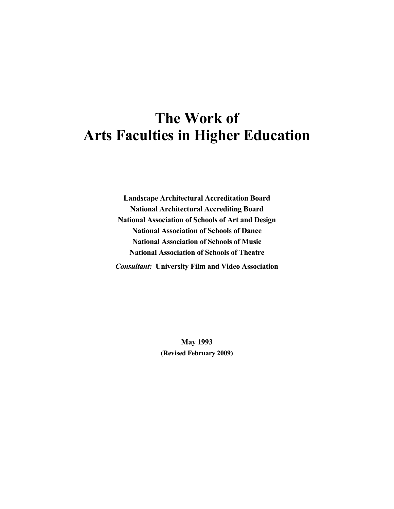# **The Work of Arts Faculties in Higher Education**

**Landscape Architectural Accreditation Board National Architectural Accrediting Board National Association of Schools of Art and Design National Association of Schools of Dance National Association of Schools of Music National Association of Schools of Theatre**  *Consultant:* **University Film and Video Association** 

> **May 1993 (Revised February 2009)**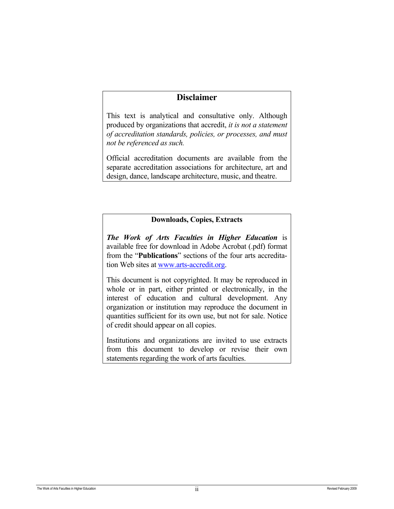# **Disclaimer**

This text is analytical and consultative only. Although produced by organizations that accredit, *it is not a statement of accreditation standards, policies, or processes, and must not be referenced as such.*

Official accreditation documents are available from the separate accreditation associations for architecture, art and design, dance, landscape architecture, music, and theatre.

## **Downloads, Copies, Extracts**

*The Work of Arts Faculties in Higher Education* is available free for download in Adobe Acrobat (.pdf) format from the "**Publications**" sections of the four arts accreditation Web sites at [www.arts-accredit.org.](http://www.arts-accredit.org/)

This document is not copyrighted. It may be reproduced in whole or in part, either printed or electronically, in the interest of education and cultural development. Any organization or institution may reproduce the document in quantities sufficient for its own use, but not for sale. Notice of credit should appear on all copies.

Institutions and organizations are invited to use extracts from this document to develop or revise their own statements regarding the work of arts faculties.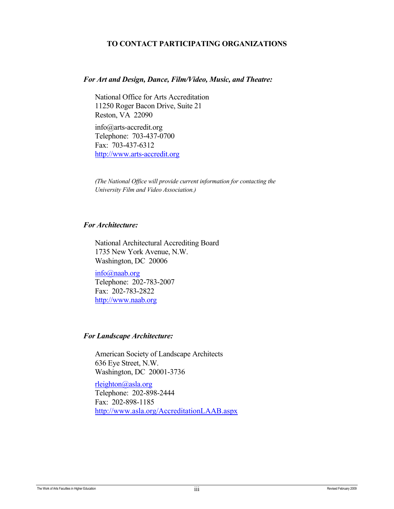### **TO CONTACT PARTICIPATING ORGANIZATIONS**

### *For Art and Design, Dance, Film/Video, Music, and Theatre:*

National Office for Arts Accreditation 11250 Roger Bacon Drive, Suite 21 Reston, VA 22090

info@arts-accredit.org Telephone: 703-437-0700 Fax: 703-437-6312 [http://www.arts-accredit.org](http://www.arts-accredit.org/) 

*(The National Office will provide current information for contacting the University Film and Video Association.)*

### *For Architecture:*

National Architectural Accrediting Board 1735 New York Avenue, N.W. Washington, DC 20006

[info@naab.org](mailto:info@naab.org) Telephone: 202-783-2007 Fax: 202-783-2822 [http://www.naab.org](http://www.naab.org/)

### *For Landscape Architecture:*

American Society of Landscape Architects 636 Eye Street, N.W. Washington, DC 20001-3736

[rleighton@asla.org](mailto:rleighton@asla.org) Telephone: 202-898-2444 Fax: 202-898-1185 <http://www.asla.org/AccreditationLAAB.aspx>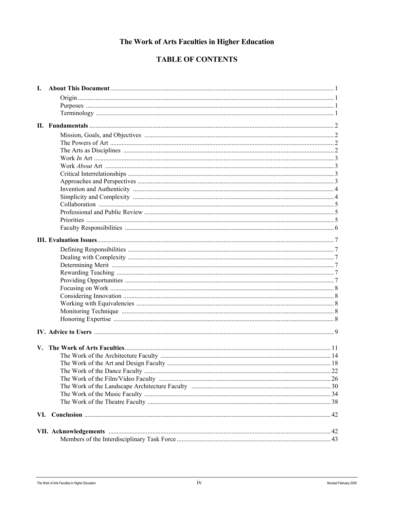# The Work of Arts Faculties in Higher Education

# **TABLE OF CONTENTS**

| I. |                               |    |
|----|-------------------------------|----|
|    |                               |    |
|    |                               |    |
|    |                               |    |
|    |                               |    |
|    |                               |    |
|    |                               |    |
|    |                               |    |
|    |                               |    |
|    |                               |    |
|    |                               |    |
|    |                               |    |
|    |                               |    |
|    |                               |    |
|    |                               |    |
|    |                               |    |
|    |                               |    |
|    |                               |    |
|    |                               |    |
|    |                               |    |
|    |                               |    |
|    |                               |    |
|    |                               |    |
|    |                               |    |
|    |                               |    |
|    |                               |    |
|    |                               |    |
|    |                               |    |
|    |                               |    |
|    |                               |    |
|    |                               |    |
|    |                               |    |
|    |                               |    |
|    |                               |    |
|    |                               |    |
|    | The Work of the Dance Faculty | 22 |
|    |                               |    |
|    |                               |    |
|    |                               |    |
|    |                               |    |
|    |                               |    |
|    |                               |    |
|    |                               |    |
|    |                               |    |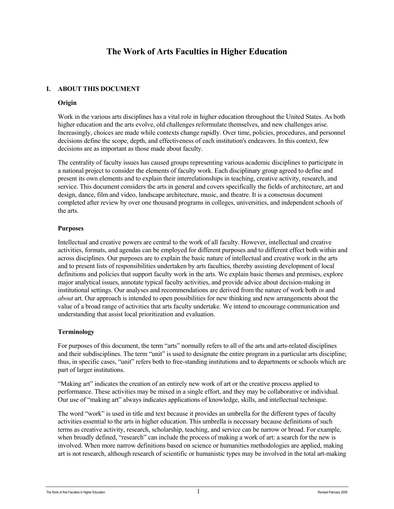# **The Work of Arts Faculties in Higher Education**

### **I. ABOUT THIS DOCUMENT**

### **Origin**

Work in the various arts disciplines has a vital role in higher education throughout the United States. As both higher education and the arts evolve, old challenges reformulate themselves, and new challenges arise. Increasingly, choices are made while contexts change rapidly. Over time, policies, procedures, and personnel decisions define the scope, depth, and effectiveness of each institution's endeavors. In this context, few decisions are as important as those made about faculty.

The centrality of faculty issues has caused groups representing various academic disciplines to participate in a national project to consider the elements of faculty work. Each disciplinary group agreed to define and present its own elements and to explain their interrelationships in teaching, creative activity, research, and service. This document considers the arts in general and covers specifically the fields of architecture, art and design, dance, film and video, landscape architecture, music, and theatre. It is a consensus document completed after review by over one thousand programs in colleges, universities, and independent schools of the arts.

### **Purposes**

Intellectual and creative powers are central to the work of all faculty. However, intellectual and creative activities, formats, and agendas can be employed for different purposes and to different effect both within and across disciplines. Our purposes are to explain the basic nature of intellectual and creative work in the arts and to present lists of responsibilities undertaken by arts faculties, thereby assisting development of local definitions and policies that support faculty work in the arts. We explain basic themes and premises, explore major analytical issues, annotate typical faculty activities, and provide advice about decision-making in institutional settings. Our analyses and recommendations are derived from the nature of work both *in* and *about* art. Our approach is intended to open possibilities for new thinking and new arrangements about the value of a broad range of activities that arts faculty undertake. We intend to encourage communication and understanding that assist local prioritization and evaluation.

### **Terminology**

For purposes of this document, the term "arts" normally refers to all of the arts and arts-related disciplines and their subdisciplines. The term "unit" is used to designate the entire program in a particular arts discipline; thus, in specific cases, "unit" refers both to free-standing institutions and to departments or schools which are part of larger institutions.

"Making art" indicates the creation of an entirely new work of art or the creative process applied to performance. These activities may be mixed in a single effort, and they may be collaborative or individual. Our use of "making art" always indicates applications of knowledge, skills, and intellectual technique.

The word "work" is used in title and text because it provides an umbrella for the different types of faculty activities essential to the arts in higher education. This umbrella is necessary because definitions of such terms as creative activity, research, scholarship, teaching, and service can be narrow or broad. For example, when broadly defined, "research" can include the process of making a work of art: a search for the new is involved. When more narrow definitions based on science or humanities methodologies are applied, making art is not research, although research of scientific or humanistic types may be involved in the total art-making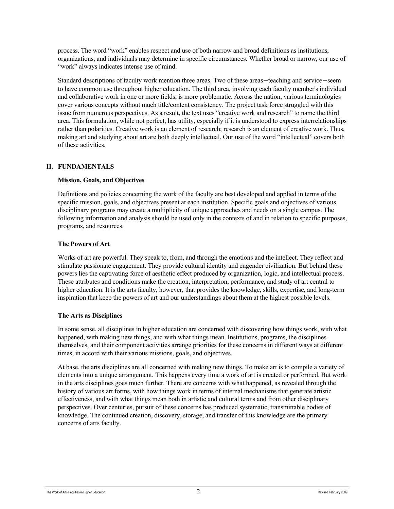process. The word "work" enables respect and use of both narrow and broad definitions as institutions, organizations, and individuals may determine in specific circumstances. Whether broad or narrow, our use of "work" always indicates intense use of mind.

Standard descriptions of faculty work mention three areas. Two of these areas—teaching and service—seem to have common use throughout higher education. The third area, involving each faculty member's individual and collaborative work in one or more fields, is more problematic. Across the nation, various terminologies cover various concepts without much title/content consistency. The project task force struggled with this issue from numerous perspectives. As a result, the text uses "creative work and research" to name the third area. This formulation, while not perfect, has utility, especially if it is understood to express interrelationships rather than polarities. Creative work is an element of research; research is an element of creative work. Thus, making art and studying about art are both deeply intellectual. Our use of the word "intellectual" covers both of these activities.

### **II. FUNDAMENTALS**

### **Mission, Goals, and Objectives**

Definitions and policies concerning the work of the faculty are best developed and applied in terms of the specific mission, goals, and objectives present at each institution. Specific goals and objectives of various disciplinary programs may create a multiplicity of unique approaches and needs on a single campus. The following information and analysis should be used only in the contexts of and in relation to specific purposes, programs, and resources.

### **The Powers of Art**

Works of art are powerful. They speak to, from, and through the emotions and the intellect. They reflect and stimulate passionate engagement. They provide cultural identity and engender civilization. But behind these powers lies the captivating force of aesthetic effect produced by organization, logic, and intellectual process. These attributes and conditions make the creation, interpretation, performance, and study of art central to higher education. It is the arts faculty, however, that provides the knowledge, skills, expertise, and long-term inspiration that keep the powers of art and our understandings about them at the highest possible levels.

### **The Arts as Disciplines**

In some sense, all disciplines in higher education are concerned with discovering how things work, with what happened, with making new things, and with what things mean. Institutions, programs, the disciplines themselves, and their component activities arrange priorities for these concerns in different ways at different times, in accord with their various missions, goals, and objectives.

At base, the arts disciplines are all concerned with making new things. To make art is to compile a variety of elements into a unique arrangement. This happens every time a work of art is created or performed. But work in the arts disciplines goes much further. There are concerns with what happened, as revealed through the history of various art forms, with how things work in terms of internal mechanisms that generate artistic effectiveness, and with what things mean both in artistic and cultural terms and from other disciplinary perspectives. Over centuries, pursuit of these concerns has produced systematic, transmittable bodies of knowledge. The continued creation, discovery, storage, and transfer of this knowledge are the primary concerns of arts faculty.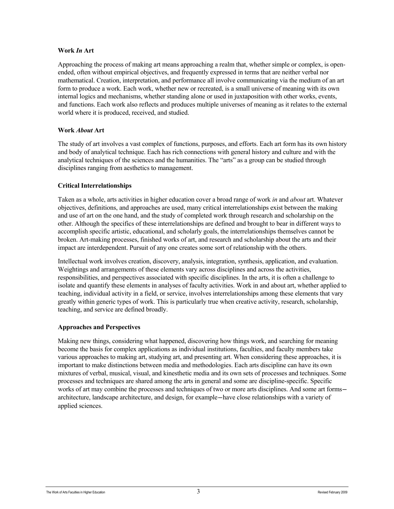### **Work** *In* **Art**

Approaching the process of making art means approaching a realm that, whether simple or complex, is openended, often without empirical objectives, and frequently expressed in terms that are neither verbal nor mathematical. Creation, interpretation, and performance all involve communicating via the medium of an art form to produce a work. Each work, whether new or recreated, is a small universe of meaning with its own internal logics and mechanisms, whether standing alone or used in juxtaposition with other works, events, and functions. Each work also reflects and produces multiple universes of meaning as it relates to the external world where it is produced, received, and studied.

### **Work** *About* **Art**

The study of art involves a vast complex of functions, purposes, and efforts. Each art form has its own history and body of analytical technique. Each has rich connections with general history and culture and with the analytical techniques of the sciences and the humanities. The "arts" as a group can be studied through disciplines ranging from aesthetics to management.

### **Critical Interrelationships**

Taken as a whole, arts activities in higher education cover a broad range of work *in* and *about* art. Whatever objectives, definitions, and approaches are used, many critical interrelationships exist between the making and use of art on the one hand, and the study of completed work through research and scholarship on the other. Although the specifics of these interrelationships are defined and brought to bear in different ways to accomplish specific artistic, educational, and scholarly goals, the interrelationships themselves cannot be broken. Art-making processes, finished works of art, and research and scholarship about the arts and their impact are interdependent. Pursuit of any one creates some sort of relationship with the others.

Intellectual work involves creation, discovery, analysis, integration, synthesis, application, and evaluation. Weightings and arrangements of these elements vary across disciplines and across the activities, responsibilities, and perspectives associated with specific disciplines. In the arts, it is often a challenge to isolate and quantify these elements in analyses of faculty activities. Work in and about art, whether applied to teaching, individual activity in a field, or service, involves interrelationships among these elements that vary greatly within generic types of work. This is particularly true when creative activity, research, scholarship, teaching, and service are defined broadly.

### **Approaches and Perspectives**

Making new things, considering what happened, discovering how things work, and searching for meaning become the basis for complex applications as individual institutions, faculties, and faculty members take various approaches to making art, studying art, and presenting art. When considering these approaches, it is important to make distinctions between media and methodologies. Each arts discipline can have its own mixtures of verbal, musical, visual, and kinesthetic media and its own sets of processes and techniques. Some processes and techniques are shared among the arts in general and some are discipline-specific. Specific works of art may combine the processes and techniques of two or more arts disciplines. And some art forms architecture, landscape architecture, and design, for example─have close relationships with a variety of applied sciences.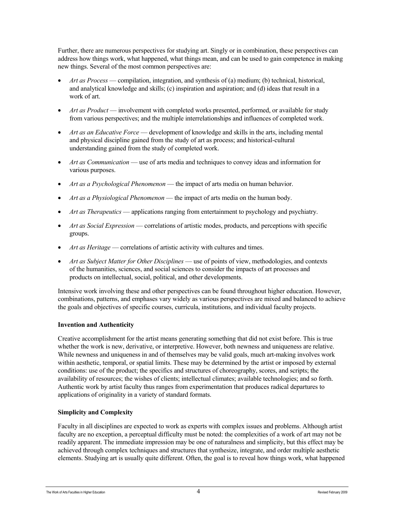Further, there are numerous perspectives for studying art. Singly or in combination, these perspectives can address how things work, what happened, what things mean, and can be used to gain competence in making new things. Several of the most common perspectives are:

- *Art as Process* compilation, integration, and synthesis of (a) medium; (b) technical, historical, and analytical knowledge and skills; (c) inspiration and aspiration; and (d) ideas that result in a work of art.
- *Art as Product* involvement with completed works presented, performed, or available for study from various perspectives; and the multiple interrelationships and influences of completed work.
- *Art as an Educative Force* development of knowledge and skills in the arts, including mental and physical discipline gained from the study of art as process; and historical-cultural understanding gained from the study of completed work.
- *Art as Communication* use of arts media and techniques to convey ideas and information for various purposes.
- *Art as a Psychological Phenomenon* the impact of arts media on human behavior.
- *Art as a Physiological Phenomenon* the impact of arts media on the human body.
- *Art as Therapeutics* applications ranging from entertainment to psychology and psychiatry.
- *Art as Social Expression* correlations of artistic modes, products, and perceptions with specific groups.
- *Art as Heritage* correlations of artistic activity with cultures and times.
- *Art as Subject Matter for Other Disciplines* use of points of view, methodologies, and contexts of the humanities, sciences, and social sciences to consider the impacts of art processes and products on intellectual, social, political, and other developments.

Intensive work involving these and other perspectives can be found throughout higher education. However, combinations, patterns, and emphases vary widely as various perspectives are mixed and balanced to achieve the goals and objectives of specific courses, curricula, institutions, and individual faculty projects.

### **Invention and Authenticity**

Creative accomplishment for the artist means generating something that did not exist before. This is true whether the work is new, derivative, or interpretive. However, both newness and uniqueness are relative. While newness and uniqueness in and of themselves may be valid goals, much art-making involves work within aesthetic, temporal, or spatial limits. These may be determined by the artist or imposed by external conditions: use of the product; the specifics and structures of choreography, scores, and scripts; the availability of resources; the wishes of clients; intellectual climates; available technologies; and so forth. Authentic work by artist faculty thus ranges from experimentation that produces radical departures to applications of originality in a variety of standard formats.

### **Simplicity and Complexity**

Faculty in all disciplines are expected to work as experts with complex issues and problems. Although artist faculty are no exception, a perceptual difficulty must be noted: the complexities of a work of art may not be readily apparent. The immediate impression may be one of naturalness and simplicity, but this effect may be achieved through complex techniques and structures that synthesize, integrate, and order multiple aesthetic elements. Studying art is usually quite different. Often, the goal is to reveal how things work, what happened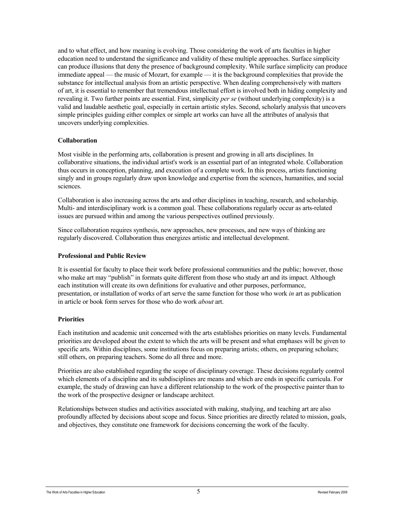and to what effect, and how meaning is evolving. Those considering the work of arts faculties in higher education need to understand the significance and validity of these multiple approaches. Surface simplicity can produce illusions that deny the presence of background complexity. While surface simplicity can produce immediate appeal — the music of Mozart, for example — it is the background complexities that provide the substance for intellectual analysis from an artistic perspective. When dealing comprehensively with matters of art, it is essential to remember that tremendous intellectual effort is involved both in hiding complexity and revealing it. Two further points are essential. First, simplicity *per se* (without underlying complexity) is a valid and laudable aesthetic goal, especially in certain artistic styles. Second, scholarly analysis that uncovers simple principles guiding either complex or simple art works can have all the attributes of analysis that uncovers underlying complexities.

### **Collaboration**

Most visible in the performing arts, collaboration is present and growing in all arts disciplines. In collaborative situations, the individual artist's work is an essential part of an integrated whole. Collaboration thus occurs in conception, planning, and execution of a complete work. In this process, artists functioning singly and in groups regularly draw upon knowledge and expertise from the sciences, humanities, and social sciences.

Collaboration is also increasing across the arts and other disciplines in teaching, research, and scholarship. Multi- and interdisciplinary work is a common goal. These collaborations regularly occur as arts-related issues are pursued within and among the various perspectives outlined previously.

Since collaboration requires synthesis, new approaches, new processes, and new ways of thinking are regularly discovered. Collaboration thus energizes artistic and intellectual development.

### **Professional and Public Review**

It is essential for faculty to place their work before professional communities and the public; however, those who make art may "publish" in formats quite different from those who study art and its impact. Although each institution will create its own definitions for evaluative and other purposes, performance, presentation, or installation of works of art serve the same function for those who work *in* art as publication in article or book form serves for those who do work *about* art.

### **Priorities**

Each institution and academic unit concerned with the arts establishes priorities on many levels. Fundamental priorities are developed about the extent to which the arts will be present and what emphases will be given to specific arts. Within disciplines, some institutions focus on preparing artists; others, on preparing scholars; still others, on preparing teachers. Some do all three and more.

Priorities are also established regarding the scope of disciplinary coverage. These decisions regularly control which elements of a discipline and its subdisciplines are means and which are ends in specific curricula. For example, the study of drawing can have a different relationship to the work of the prospective painter than to the work of the prospective designer or landscape architect.

Relationships between studies and activities associated with making, studying, and teaching art are also profoundly affected by decisions about scope and focus. Since priorities are directly related to mission, goals, and objectives, they constitute one framework for decisions concerning the work of the faculty.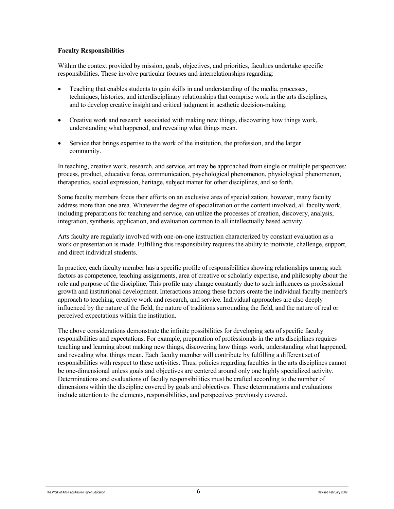### **Faculty Responsibilities**

Within the context provided by mission, goals, objectives, and priorities, faculties undertake specific responsibilities. These involve particular focuses and interrelationships regarding:

- Teaching that enables students to gain skills in and understanding of the media, processes, techniques, histories, and interdisciplinary relationships that comprise work in the arts disciplines, and to develop creative insight and critical judgment in aesthetic decision-making.
- Creative work and research associated with making new things, discovering how things work, understanding what happened, and revealing what things mean.
- Service that brings expertise to the work of the institution, the profession, and the larger community.

In teaching, creative work, research, and service, art may be approached from single or multiple perspectives: process, product, educative force, communication, psychological phenomenon, physiological phenomenon, therapeutics, social expression, heritage, subject matter for other disciplines, and so forth.

Some faculty members focus their efforts on an exclusive area of specialization; however, many faculty address more than one area. Whatever the degree of specialization or the content involved, all faculty work, including preparations for teaching and service, can utilize the processes of creation, discovery, analysis, integration, synthesis, application, and evaluation common to all intellectually based activity.

Arts faculty are regularly involved with one-on-one instruction characterized by constant evaluation as a work or presentation is made. Fulfilling this responsibility requires the ability to motivate, challenge, support, and direct individual students.

In practice, each faculty member has a specific profile of responsibilities showing relationships among such factors as competence, teaching assignments, area of creative or scholarly expertise, and philosophy about the role and purpose of the discipline. This profile may change constantly due to such influences as professional growth and institutional development. Interactions among these factors create the individual faculty member's approach to teaching, creative work and research, and service. Individual approaches are also deeply influenced by the nature of the field, the nature of traditions surrounding the field, and the nature of real or perceived expectations within the institution.

The above considerations demonstrate the infinite possibilities for developing sets of specific faculty responsibilities and expectations. For example, preparation of professionals in the arts disciplines requires teaching and learning about making new things, discovering how things work, understanding what happened, and revealing what things mean. Each faculty member will contribute by fulfilling a different set of responsibilities with respect to these activities. Thus, policies regarding faculties in the arts disciplines cannot be one-dimensional unless goals and objectives are centered around only one highly specialized activity. Determinations and evaluations of faculty responsibilities must be crafted according to the number of dimensions within the discipline covered by goals and objectives. These determinations and evaluations include attention to the elements, responsibilities, and perspectives previously covered.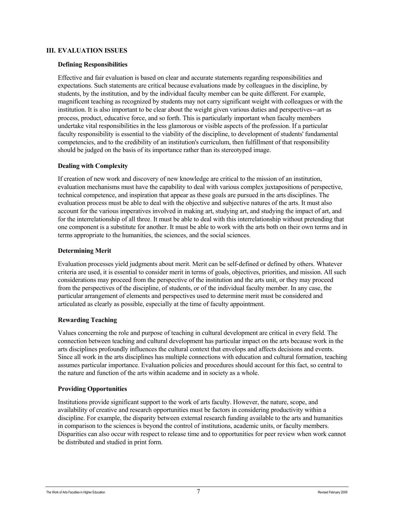### **III. EVALUATION ISSUES**

### **Defining Responsibilities**

Effective and fair evaluation is based on clear and accurate statements regarding responsibilities and expectations. Such statements are critical because evaluations made by colleagues in the discipline, by students, by the institution, and by the individual faculty member can be quite different. For example, magnificent teaching as recognized by students may not carry significant weight with colleagues or with the institution. It is also important to be clear about the weight given various duties and perspectives—art as process, product, educative force, and so forth. This is particularly important when faculty members undertake vital responsibilities in the less glamorous or visible aspects of the profession. If a particular faculty responsibility is essential to the viability of the discipline, to development of students' fundamental competencies, and to the credibility of an institution's curriculum, then fulfillment of that responsibility should be judged on the basis of its importance rather than its stereotyped image.

### **Dealing with Complexity**

If creation of new work and discovery of new knowledge are critical to the mission of an institution, evaluation mechanisms must have the capability to deal with various complex juxtapositions of perspective, technical competence, and inspiration that appear as these goals are pursued in the arts disciplines. The evaluation process must be able to deal with the objective and subjective natures of the arts. It must also account for the various imperatives involved in making art, studying art, and studying the impact of art, and for the interrelationship of all three. It must be able to deal with this interrelationship without pretending that one component is a substitute for another. It must be able to work with the arts both on their own terms and in terms appropriate to the humanities, the sciences, and the social sciences.

### **Determining Merit**

Evaluation processes yield judgments about merit. Merit can be self-defined or defined by others. Whatever criteria are used, it is essential to consider merit in terms of goals, objectives, priorities, and mission. All such considerations may proceed from the perspective of the institution and the arts unit, or they may proceed from the perspectives of the discipline, of students, or of the individual faculty member. In any case, the particular arrangement of elements and perspectives used to determine merit must be considered and articulated as clearly as possible, especially at the time of faculty appointment.

### **Rewarding Teaching**

Values concerning the role and purpose of teaching in cultural development are critical in every field. The connection between teaching and cultural development has particular impact on the arts because work in the arts disciplines profoundly influences the cultural context that envelops and affects decisions and events. Since all work in the arts disciplines has multiple connections with education and cultural formation, teaching assumes particular importance. Evaluation policies and procedures should account for this fact, so central to the nature and function of the arts within academe and in society as a whole.

### **Providing Opportunities**

Institutions provide significant support to the work of arts faculty. However, the nature, scope, and availability of creative and research opportunities must be factors in considering productivity within a discipline. For example, the disparity between external research funding available to the arts and humanities in comparison to the sciences is beyond the control of institutions, academic units, or faculty members. Disparities can also occur with respect to release time and to opportunities for peer review when work cannot be distributed and studied in print form.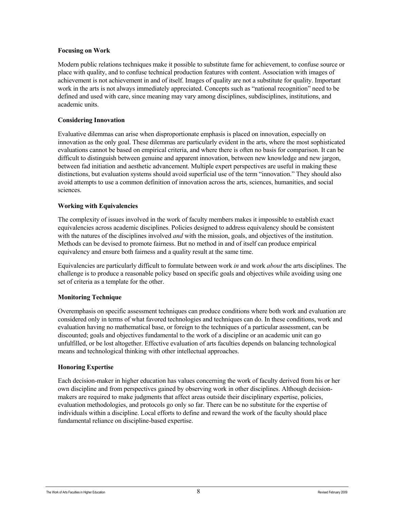### **Focusing on Work**

Modern public relations techniques make it possible to substitute fame for achievement, to confuse source or place with quality, and to confuse technical production features with content. Association with images of achievement is not achievement in and of itself. Images of quality are not a substitute for quality. Important work in the arts is not always immediately appreciated. Concepts such as "national recognition" need to be defined and used with care, since meaning may vary among disciplines, subdisciplines, institutions, and academic units.

### **Considering Innovation**

Evaluative dilemmas can arise when disproportionate emphasis is placed on innovation, especially on innovation as the only goal. These dilemmas are particularly evident in the arts, where the most sophisticated evaluations cannot be based on empirical criteria, and where there is often no basis for comparison. It can be difficult to distinguish between genuine and apparent innovation, between new knowledge and new jargon, between fad initiation and aesthetic advancement. Multiple expert perspectives are useful in making these distinctions, but evaluation systems should avoid superficial use of the term "innovation." They should also avoid attempts to use a common definition of innovation across the arts, sciences, humanities, and social sciences.

### **Working with Equivalencies**

The complexity of issues involved in the work of faculty members makes it impossible to establish exact equivalencies across academic disciplines. Policies designed to address equivalency should be consistent with the natures of the disciplines involved *and* with the mission, goals, and objectives of the institution. Methods can be devised to promote fairness. But no method in and of itself can produce empirical equivalency and ensure both fairness and a quality result at the same time.

Equivalencies are particularly difficult to formulate between work *in* and work *about* the arts disciplines. The challenge is to produce a reasonable policy based on specific goals and objectives while avoiding using one set of criteria as a template for the other.

### **Monitoring Technique**

Overemphasis on specific assessment techniques can produce conditions where both work and evaluation are considered only in terms of what favored technologies and techniques can do. In these conditions, work and evaluation having no mathematical base, or foreign to the techniques of a particular assessment, can be discounted; goals and objectives fundamental to the work of a discipline or an academic unit can go unfulfilled, or be lost altogether. Effective evaluation of arts faculties depends on balancing technological means and technological thinking with other intellectual approaches.

### **Honoring Expertise**

Each decision-maker in higher education has values concerning the work of faculty derived from his or her own discipline and from perspectives gained by observing work in other disciplines. Although decisionmakers are required to make judgments that affect areas outside their disciplinary expertise, policies, evaluation methodologies, and protocols go only so far. There can be no substitute for the expertise of individuals within a discipline. Local efforts to define and reward the work of the faculty should place fundamental reliance on discipline-based expertise.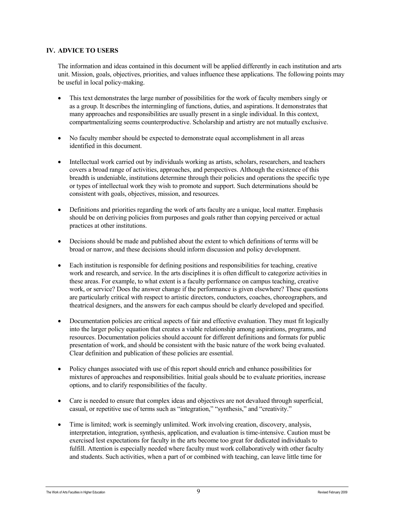### **IV. ADVICE TO USERS**

The information and ideas contained in this document will be applied differently in each institution and arts unit. Mission, goals, objectives, priorities, and values influence these applications. The following points may be useful in local policy-making.

- This text demonstrates the large number of possibilities for the work of faculty members singly or as a group. It describes the intermingling of functions, duties, and aspirations. It demonstrates that many approaches and responsibilities are usually present in a single individual. In this context, compartmentalizing seems counterproductive. Scholarship and artistry are not mutually exclusive.
- No faculty member should be expected to demonstrate equal accomplishment in all areas identified in this document.
- Intellectual work carried out by individuals working as artists, scholars, researchers, and teachers covers a broad range of activities, approaches, and perspectives. Although the existence of this breadth is undeniable, institutions determine through their policies and operations the specific type or types of intellectual work they wish to promote and support. Such determinations should be consistent with goals, objectives, mission, and resources.
- Definitions and priorities regarding the work of arts faculty are a unique, local matter. Emphasis should be on deriving policies from purposes and goals rather than copying perceived or actual practices at other institutions.
- Decisions should be made and published about the extent to which definitions of terms will be broad or narrow, and these decisions should inform discussion and policy development.
- Each institution is responsible for defining positions and responsibilities for teaching, creative work and research, and service. In the arts disciplines it is often difficult to categorize activities in these areas. For example, to what extent is a faculty performance on campus teaching, creative work, or service? Does the answer change if the performance is given elsewhere? These questions are particularly critical with respect to artistic directors, conductors, coaches, choreographers, and theatrical designers, and the answers for each campus should be clearly developed and specified.
- Documentation policies are critical aspects of fair and effective evaluation. They must fit logically into the larger policy equation that creates a viable relationship among aspirations, programs, and resources. Documentation policies should account for different definitions and formats for public presentation of work, and should be consistent with the basic nature of the work being evaluated. Clear definition and publication of these policies are essential.
- Policy changes associated with use of this report should enrich and enhance possibilities for mixtures of approaches and responsibilities. Initial goals should be to evaluate priorities, increase options, and to clarify responsibilities of the faculty.
- Care is needed to ensure that complex ideas and objectives are not devalued through superficial, casual, or repetitive use of terms such as "integration," "synthesis," and "creativity."
- Time is limited; work is seemingly unlimited. Work involving creation, discovery, analysis, interpretation, integration, synthesis, application, and evaluation is time-intensive. Caution must be exercised lest expectations for faculty in the arts become too great for dedicated individuals to fulfill. Attention is especially needed where faculty must work collaboratively with other faculty and students. Such activities, when a part of or combined with teaching, can leave little time for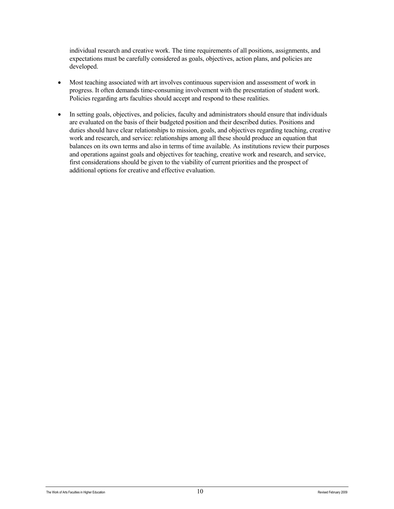individual research and creative work. The time requirements of all positions, assignments, and expectations must be carefully considered as goals, objectives, action plans, and policies are developed.

- Most teaching associated with art involves continuous supervision and assessment of work in progress. It often demands time-consuming involvement with the presentation of student work. Policies regarding arts faculties should accept and respond to these realities.
- In setting goals, objectives, and policies, faculty and administrators should ensure that individuals are evaluated on the basis of their budgeted position and their described duties. Positions and duties should have clear relationships to mission, goals, and objectives regarding teaching, creative work and research, and service: relationships among all these should produce an equation that balances on its own terms and also in terms of time available. As institutions review their purposes and operations against goals and objectives for teaching, creative work and research, and service, first considerations should be given to the viability of current priorities and the prospect of additional options for creative and effective evaluation.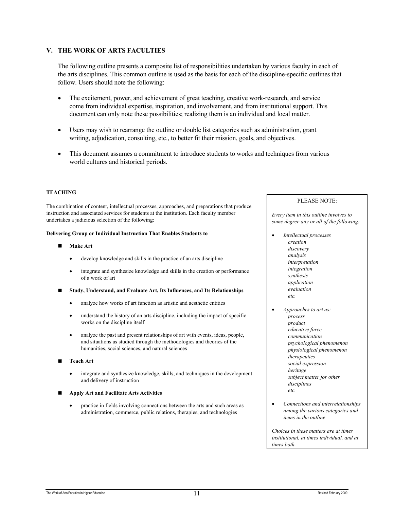### **V. THE WORK OF ARTS FACULTIES**

The following outline presents a composite list of responsibilities undertaken by various faculty in each of the arts disciplines. This common outline is used as the basis for each of the discipline-specific outlines that follow. Users should note the following:

- The excitement, power, and achievement of great teaching, creative work-research, and service come from individual expertise, inspiration, and involvement, and from institutional support. This document can only note these possibilities; realizing them is an individual and local matter.
- Users may wish to rearrange the outline or double list categories such as administration, grant writing, adjudication, consulting, etc., to better fit their mission, goals, and objectives.
- This document assumes a commitment to introduce students to works and techniques from various world cultures and historical periods.

### **TEACHING**

The combination of content, intellectual processes, approaches, and preparations that produce instruction and associated services for students at the institution. Each faculty member undertakes a judicious selection of the following:

#### **Delivering Group or Individual Instruction That Enables Students to**

- **Make Art** 
	- develop knowledge and skills in the practice of an arts discipline
	- integrate and synthesize knowledge and skills in the creation or performance of a work of art
- **Study, Understand, and Evaluate Art, Its Influences, and Its Relationships** 
	- analyze how works of art function as artistic and aesthetic entities
	- understand the history of an arts discipline, including the impact of specific works on the discipline itself
	- analyze the past and present relationships of art with events, ideas, people, and situations as studied through the methodologies and theories of the humanities, social sciences, and natural sciences
- **Teach Art** 
	- integrate and synthesize knowledge, skills, and techniques in the development and delivery of instruction
- **Apply Art and Facilitate Arts Activities** 
	- practice in fields involving connections between the arts and such areas as administration, commerce, public relations, therapies, and technologies

#### PLEASE NOTE:

*Every item in this outline involves to some degree any or all of the following:* 

• *Intellectual processes creation discovery analysis interpretation integration synthesis application evaluation etc.* 

• *Approaches to art as: process product educative force communication psychological phenomenon physiological phenomenon therapeutics social expression heritage subject matter for other disciplines etc.* 

• *Connections and interrelationships among the various categories and items in the outline*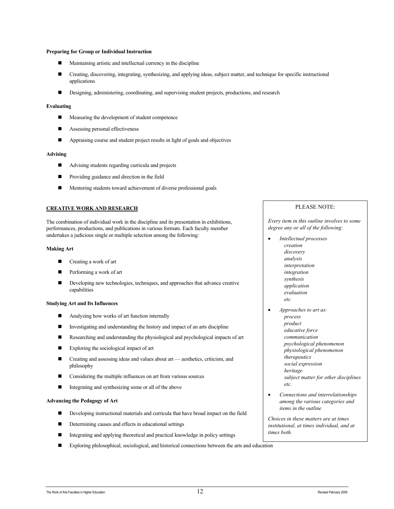#### **Preparing for Group or Individual Instruction**

- Maintaining artistic and intellectual currency in the discipline
- Creating, discovering, integrating, synthesizing, and applying ideas, subject matter, and technique for specific instructional applications
- Designing, administering, coordinating, and supervising student projects, productions, and research

#### **Evaluating**

- **Measuring the development of student competence**
- Assessing personal effectiveness
- Appraising course and student project results in light of goals and objectives

#### **Advising**

- Advising students regarding curricula and projects
- **Providing guidance and direction in the field**
- Mentoring students toward achievement of diverse professional goals

#### **CREATIVE WORK AND RESEARCH**

The combination of individual work in the discipline and its presentation in exhibitions, performances, productions, and publications in various formats. Each faculty member undertakes a judicious single or multiple selection among the following:

#### **Making Art**

- Creating a work of art
- **Performing a work of art**
- Developing new technologies, techniques, and approaches that advance creative capabilities

#### **Studying Art and Its Influences**

- Analyzing how works of art function internally
- Investigating and understanding the history and impact of an arts discipline
- Researching and understanding the physiological and psychological impacts of art
- Exploring the sociological impact of art
- Creating and assessing ideas and values about art aesthetics, criticism, and philosophy
- Considering the multiple influences on art from various sources
- Integrating and synthesizing some or all of the above

#### **Advancing the Pedagogy of Art**

- Developing instructional materials and curricula that have broad impact on the field
- Determining causes and effects in educational settings
- Integrating and applying theoretical and practical knowledge in policy settings
- Exploring philosophical, sociological, and historical connections between the arts and education

#### PLEASE NOTE:

*Every item in this outline involves to some degree any or all of the following:* 

- *Intellectual processes creation discovery analysis interpretation integration synthesis application evaluation etc.*
- *Approaches to art as: process product educative force communication psychological phenomenon physiological phenomenon therapeutics social expression heritage subject matter for other disciplines etc.*
- *Connections and interrelationships among the various categories and items in the outline*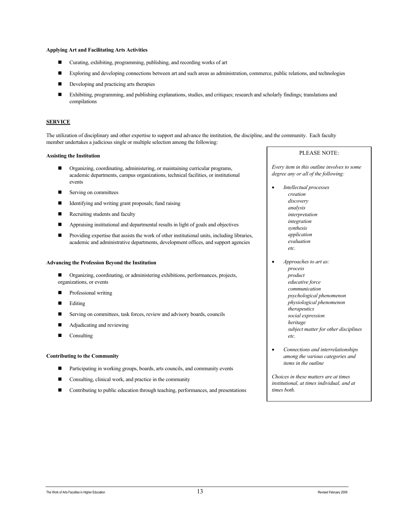#### **Applying Art and Facilitating Arts Activities**

- Curating, exhibiting, programming, publishing, and recording works of art
- Exploring and developing connections between art and such areas as administration, commerce, public relations, and technologies
- Developing and practicing arts therapies
- Exhibiting, programming, and publishing explanations, studies, and critiques; research and scholarly findings; translations and compilations

#### **SERVICE**

The utilization of disciplinary and other expertise to support and advance the institution, the discipline, and the community. Each faculty member undertakes a judicious single or multiple selection among the following:

#### **Assisting the Institution**

- Organizing, coordinating, administering, or maintaining curricular programs, academic departments, campus organizations, technical facilities, or institutional events
- Serving on committees
- Identifying and writing grant proposals; fund raising
- Recruiting students and faculty
- Appraising institutional and departmental results in light of goals and objectives
- Providing expertise that assists the work of other institutional units, including libraries, academic and administrative departments, development offices, and support agencies

#### **Advancing the Profession Beyond the Institution**

- Organizing, coordinating, or administering exhibitions, performances, projects, organizations, or events
- **Professional writing**
- **Editing**
- Serving on committees, task forces, review and advisory boards, councils
- Adjudicating and reviewing
- Consulting

#### **Contributing to the Community**

- Participating in working groups, boards, arts councils, and community events
- $\Box$  Consulting, clinical work, and practice in the community
- Contributing to public education through teaching, performances, and presentations

PLEASE NOTE:

*Every item in this outline involves to some degree any or all of the following:* 

- *Intellectual processes creation discovery analysis interpretation integration synthesis application evaluation etc.*
- *Approaches to art as: process product educative force communication psychological phenomenon physiological phenomenon therapeutics social expression heritage subject matter for other disciplines etc.*
- *Connections and interrelationships among the various categories and items in the outline*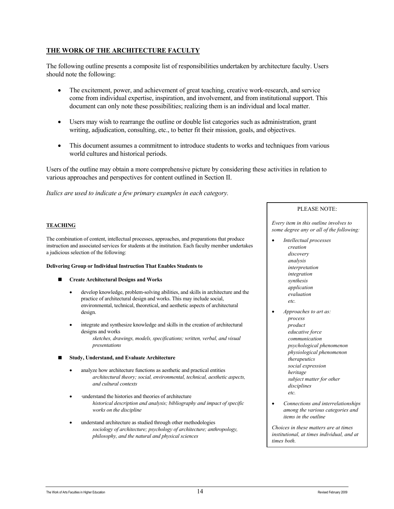### **THE WORK OF THE ARCHITECTURE FACULTY**

The following outline presents a composite list of responsibilities undertaken by architecture faculty. Users should note the following:

- The excitement, power, and achievement of great teaching, creative work-research, and service come from individual expertise, inspiration, and involvement, and from institutional support. This document can only note these possibilities; realizing them is an individual and local matter.
- Users may wish to rearrange the outline or double list categories such as administration, grant writing, adjudication, consulting, etc., to better fit their mission, goals, and objectives.
- This document assumes a commitment to introduce students to works and techniques from various world cultures and historical periods.

Users of the outline may obtain a more comprehensive picture by considering these activities in relation to various approaches and perspectives for content outlined in Section II.

*Italics are used to indicate a few primary examples in each category.*

### **TEACHING**

The combination of content, intellectual processes, approaches, and preparations that produce instruction and associated services for students at the institution. Each faculty member undertakes a judicious selection of the following:

#### **Delivering Group or Individual Instruction That Enables Students to**

- **Create Architectural Designs and Works**
	- develop knowledge, problem-solving abilities, and skills in architecture and the practice of architectural design and works. This may include social, environmental, technical, theoretical, and aesthetic aspects of architectural design.
	- integrate and synthesize knowledge and skills in the creation of architectural designs and works

*sketches, drawings, models, specifications; written, verbal, and visual presentations*

- **Study, Understand, and Evaluate Architecture**
	- analyze how architecture functions as aesthetic and practical entities *architectural theory; social, environmental, technical, aesthetic aspects, and cultural contexts*
	- ·understand the histories and theories of architecture *historical description and analysis; bibliography and impact of specific works on the discipline*
	- understand architecture as studied through other methodologies *sociology of architecture; psychology of architecture; anthropology, philosophy, and the natural and physical sciences*

#### PLEASE NOTE:

*Every item in this outline involves to some degree any or all of the following:* 

- *Intellectual processes creation discovery analysis interpretation integration synthesis application evaluation etc.*  • *Approaches to art as:* 
	- *process product educative force communication psychological phenomenon physiological phenomenon therapeutics social expression heritage subject matter for other disciplines etc.*
- *Connections and interrelationships among the various categories and items in the outline*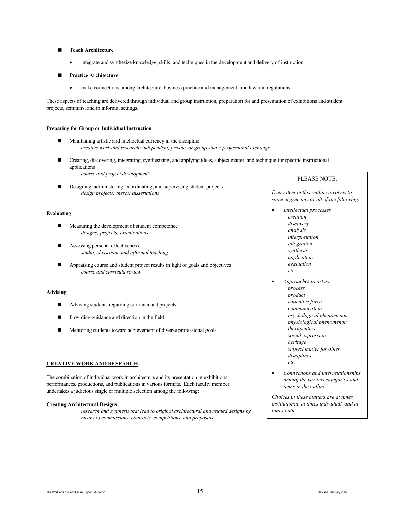#### **Teach Architecture**

integrate and synthesize knowledge, skills, and techniques in the development and delivery of instruction

#### **Practice Architecture**

make connections among architecture, business practice and management, and law and regulations

These aspects of teaching are delivered through individual and group instruction, preparation for and presentation of exhibitions and student projects, seminars, and in informal settings.

#### **Preparing for Group or Individual Instruction**

- Maintaining artistic and intellectual currency in the discipline *creative work and research; independent, private, or group study; professional exchange*
- Creating, discovering, integrating, synthesizing, and applying ideas, subject matter, and technique for specific instructional applications
	- *course and project development*
- Designing, administering, coordinating, and supervising student projects *design projects; theses; dissertations*

#### **Evaluating**

- **Measuring the development of student competence** *designs; projects; examinations*
- Assessing personal effectiveness *studio, classroom, and informal teaching*
- Appraising course and student project results in light of goals and objectives *course and curricula review*

#### **Advising**

- Advising students regarding curricula and projects
- Providing guidance and direction in the field
- Mentoring students toward achievement of diverse professional goals

#### **CREATIVE WORK AND RESEARCH**

The combination of individual work in architecture and its presentation in exhibitions, performances, productions, and publications in various formats. Each faculty member undertakes a judicious single or multiple selection among the following:

#### **Creating Architectural Designs**

*research and synthesis that lead to original architectural and related designs by means of commissions, contracts, competitions, and proposals*

#### PLEASE NOTE:

*Every item in this outline involves to some degree any or all of the following:* 

- *Intellectual processes creation discovery analysis interpretation integration synthesis application evaluation etc.*
- *Approaches to art as: process product educative force communication psychological phenomenon physiological phenomenon therapeutics social expression heritage subject matter for other disciplines etc.*
- *Connections and interrelationships among the various categories and items in the outline*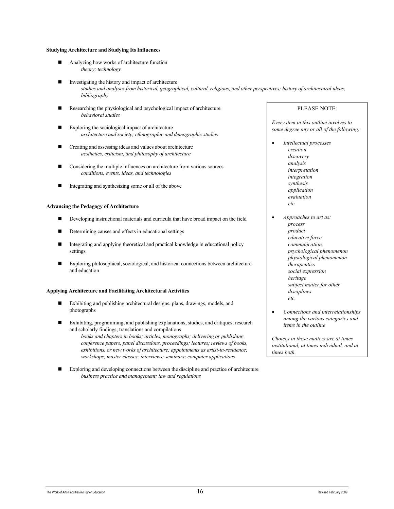#### **Studying Architecture and Studying Its Influences**

- Analyzing how works of architecture function *theory; technology*
- Investigating the history and impact of architecture *studies and analyses from historical, geographical, cultural, religious, and other perspectives; history of architectural ideas; bibliography*
- Researching the physiological and psychological impact of architecture *behavioral studies*
- Exploring the sociological impact of architecture *architecture and society; ethnographic and demographic studies*
- Creating and assessing ideas and values about architecture *aesthetics, criticism, and philosophy of architecture*
- Considering the multiple influences on architecture from various sources *conditions, events, ideas, and technologies*
- Integrating and synthesizing some or all of the above

#### **Advancing the Pedagogy of Architecture**

- Developing instructional materials and curricula that have broad impact on the field
- Determining causes and effects in educational settings
- Integrating and applying theoretical and practical knowledge in educational policy settings
- Exploring philosophical, sociological, and historical connections between architecture and education

#### **Applying Architecture and Facilitating Architectural Activities**

- Exhibiting and publishing architectural designs, plans, drawings, models, and photographs
- Exhibiting, programming, and publishing explanations, studies, and critiques; research and scholarly findings; translations and compilations
	- *books and chapters in books; articles, monographs; delivering or publishing conference papers, panel discussions, proceedings; lectures; reviews of books, exhibitions, or new works of architecture; appointments as artist-in-residence; workshops; master classes; interviews; seminars; computer applications*
- Exploring and developing connections between the discipline and practice of architecture *business practice and management; law and regulations*

#### PLEASE NOTE:

*Every item in this outline involves to some degree any or all of the following:* 

- *Intellectual processes creation discovery analysis interpretation integration synthesis application evaluation etc.*
- *Approaches to art as: process product educative force communication psychological phenomenon physiological phenomenon therapeutics social expression heritage subject matter for other disciplines etc.*
- *Connections and interrelationships among the various categories and items in the outline*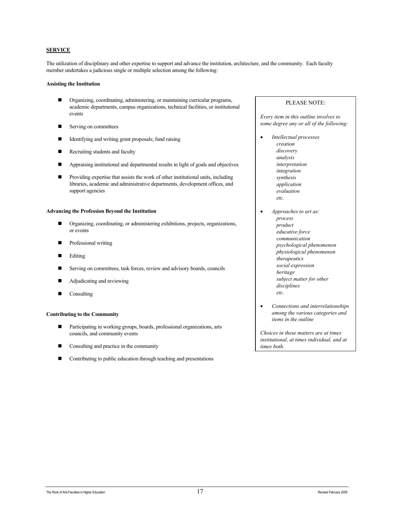#### **SERVICE**

The utilization of disciplinary and other expertise to support and advance the institution, architecture, and the community. Each faculty member undertakes a judicious single or multiple selection among the following:

#### **Assisting the Institution**

- Organizing, coordinating, administering, or maintaining curricular programs, academic departments, campus organizations, technical facilities, or institutional events
- Serving on committees
- Identifying and writing grant proposals; fund raising
- Recruiting students and faculty
- Appraising institutional and departmental results in light of goals and objectives
- Providing expertise that assists the work of other institutional units, including libraries, academic and administrative departments, development offices, and support agencies

#### **Advancing the Profession Beyond the Institution**

- Organizing, coordinating, or administering exhibitions, projects, organizations, or events
- Professional writing
- **Editing**
- Serving on committees, task forces, review and advisory boards, councils
- Adjudicating and reviewing
- Consulting

#### **Contributing to the Community**

- Participating in working groups, boards, professional organizations, arts councils, and community events
- Consulting and practice in the community
- Contributing to public education through teaching and presentations

### PLEASE NOTE:

*Every item in this outline involves to some degree any or all of the following:* 

- *Intellectual processes creation discovery analysis interpretation integration synthesis application evaluation etc.*
- *Approaches to art as: process product educative force communication psychological phenomenon physiological phenomenon therapeutics social expression heritage subject matter for other disciplines etc.*
- *Connections and interrelationships among the various categories and items in the outline*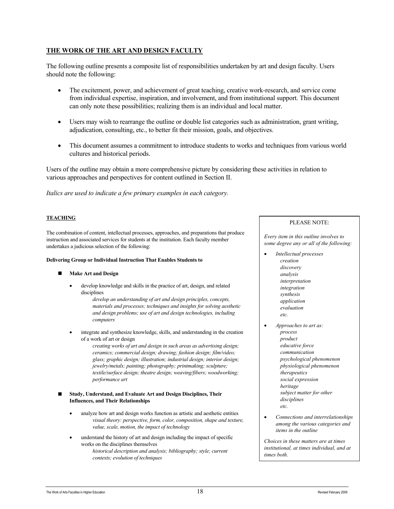### **THE WORK OF THE ART AND DESIGN FACULTY**

The following outline presents a composite list of responsibilities undertaken by art and design faculty. Users should note the following:

- The excitement, power, and achievement of great teaching, creative work-research, and service come from individual expertise, inspiration, and involvement, and from institutional support. This document can only note these possibilities; realizing them is an individual and local matter.
- Users may wish to rearrange the outline or double list categories such as administration, grant writing, adjudication, consulting, etc., to better fit their mission, goals, and objectives.
- This document assumes a commitment to introduce students to works and techniques from various world cultures and historical periods.

Users of the outline may obtain a more comprehensive picture by considering these activities in relation to various approaches and perspectives for content outlined in Section II.

*Italics are used to indicate a few primary examples in each category.*

### **TEACHING**

The combination of content, intellectual processes, approaches, and preparations that produce instruction and associated services for students at the institution. Each faculty member undertakes a judicious selection of the following:

#### **Delivering Group or Individual Instruction That Enables Students to**

- **Make Art and Design**
	- develop knowledge and skills in the practice of art, design, and related disciplines

*develop an understanding of art and design principles, concepts, materials and processes; techniques and insights for solving aesthetic and design problems; use of art and design technologies, including computers*

integrate and synthesize knowledge, skills, and understanding in the creation of a work of art or design

*creating works of art and design in such areas as advertising design; ceramics; commercial design; drawing; fashion design; film/video; glass; graphic design; illustration; industrial design; interior design; jewelry/metals; painting; photography; printmaking; sculpture; textile/surface design; theatre design; weaving/fibers; woodworking; performance art*

- **Study, Understand, and Evaluate Art and Design Disciplines, Their Influences, and Their Relationships**
	- analyze how art and design works function as artistic and aesthetic entities *visual theory: perspective, form, color, composition, shape and texture, value, scale, motion, the impact of technology*
	- understand the history of art and design including the impact of specific works on the disciplines themselves

*historical description and analysis; bibliography; style; current contexts; evolution of techniques*

#### PLEASE NOTE:

*Every item in this outline involves to some degree any or all of the following:* 

- *Intellectual processes creation discovery analysis interpretation integration synthesis application evaluation etc.*
- *Approaches to art as: process product educative force communication psychological phenomenon physiological phenomenon therapeutics social expression heritage subject matter for other disciplines etc.*
- *Connections and interrelationships among the various categories and items in the outline*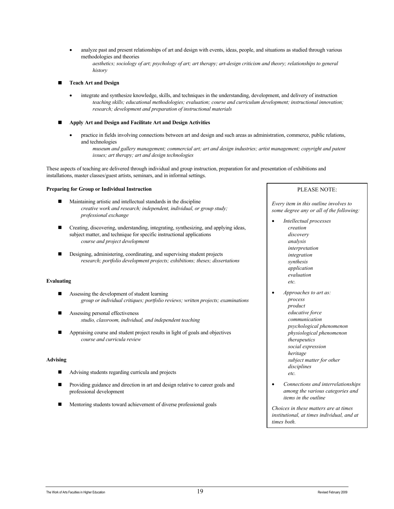• analyze past and present relationships of art and design with events, ideas, people, and situations as studied through various methodologies and theories

*aesthetics; sociology of art; psychology of art; art therapy; art-design criticism and theory; relationships to general history*

#### **Teach Art and Design**

• integrate and synthesize knowledge, skills, and techniques in the understanding, development, and delivery of instruction *teaching skills; educational methodologies; evaluation; course and curriculum development; instructional innovation; research; development and preparation of instructional materials*

#### **Apply Art and Design and Facilitate Art and Design Activities**

- practice in fields involving connections between art and design and such areas as administration, commerce, public relations, and technologies
	- *museum and gallery management; commercial art; art and design industries; artist management; copyright and patent issues; art therapy; art and design technologies*

These aspects of teaching are delivered through individual and group instruction, preparation for and presentation of exhibitions and installations, master classes/guest artists, seminars, and in informal settings.

#### **Preparing for Group or Individual Instruction**

- Maintaining artistic and intellectual standards in the discipline *creative work and research; independent, individual, or group study; professional exchange*
- Creating, discovering, understanding, integrating, synthesizing, and applying ideas, subject matter, and technique for specific instructional applications *course and project development*
- Designing, administering, coordinating, and supervising student projects *research; portfolio development projects; exhibitions; theses; dissertations*

#### **Evaluating**

- Assessing the development of student learning *group or individual critiques; portfolio reviews; written projects; examinations*
- **Assessing personal effectiveness** *studio, classroom, individual, and independent teaching*
- Appraising course and student project results in light of goals and objectives *course and curricula review*

#### **Advising**

- Advising students regarding curricula and projects
- Providing guidance and direction in art and design relative to career goals and professional development
- Mentoring students toward achievement of diverse professional goals

#### PLEASE NOTE:

*Every item in this outline involves to some degree any or all of the following:* 

- *Intellectual processes creation discovery analysis interpretation integration synthesis application evaluation etc.*  • *Approaches to art as: process* 
	- *product educative force communication psychological phenomenon physiological phenomenon therapeutics social expression heritage subject matter for other disciplines etc.*
- *Connections and interrelationships among the various categories and items in the outline*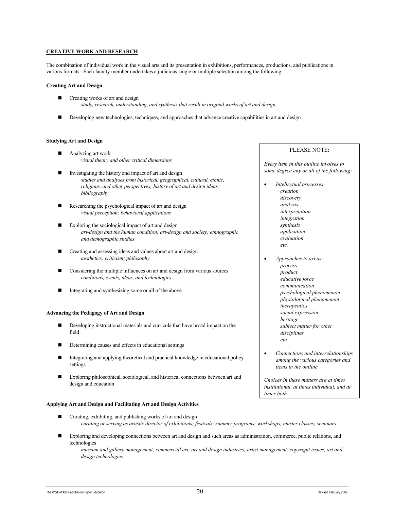#### **CREATIVE WORK AND RESEARCH**

The combination of individual work in the visual arts and its presentation in exhibitions, performances, productions, and publications in various formats. Each faculty member undertakes a judicious single or multiple selection among the following:

#### **Creating Art and Design**

- Creating works of art and design *study, research, understanding, and synthesis that result in original works of art and design*
- Developing new technologies, techniques, and approaches that advance creative capabilities in art and design

#### **Studying Art and Design**

- **Analyzing art work** *visual theory and other critical dimensions*
- Investigating the history and impact of art and design *studies and analyses from historical, geographical, cultural, ethnic, religious, and other perspectives; history of art and design ideas; bibliography*
- Researching the psychological impact of art and design *visual perception; behavioral applications*
- Exploring the sociological impact of art and design *art-design and the human condition; art-design and society; ethnographic and demographic studies*
- Creating and assessing ideas and values about art and design *aesthetics; criticism; philosophy*
- Considering the multiple influences on art and design from various sources *conditions, events, ideas, and technologies*
- Integrating and synthesizing some or all of the above

#### **Advancing the Pedagogy of Art and Design**

- Developing instructional materials and curricula that have broad impact on the field
- Determining causes and effects in educational settings
- Integrating and applying theoretical and practical knowledge in educational policy settings
- Exploring philosophical, sociological, and historical connections between art and design and education

#### **Applying Art and Design and Facilitating Art and Design Activities**

- Curating, exhibiting, and publishing works of art and design *curating or serving as artistic director of exhibitions; festivals; summer programs; workshops; master classes; seminars*
- Exploring and developing connections between art and design and such areas as administration, commerce, public relations, and technologies

*museum and gallery management; commercial art; art and design industries; artist management; copyright issues; art and design technologies*

#### PLEASE NOTE:

*Every item in this outline involves to some degree any or all of the following:* 

- *Intellectual processes creation discovery analysis interpretation integration synthesis application evaluation etc.*
- *Approaches to art as: process product educative force communication psychological phenomenon physiological phenomenon therapeutics social expression heritage subject matter for other disciplines etc.*
- *Connections and interrelationships among the various categories and items in the outline*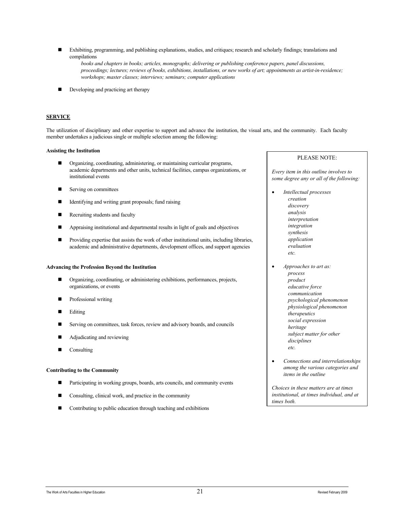- Exhibiting, programming, and publishing explanations, studies, and critiques; research and scholarly findings; translations and compilations
	- *books and chapters in books; articles, monographs; delivering or publishing conference papers, panel discussions, proceedings; lectures; reviews of books, exhibitions, installations, or new works of art; appointments as artist-in-residence; workshops; master classes; interviews; seminars; computer applications*
- Developing and practicing art therapy

#### **SERVICE**

The utilization of disciplinary and other expertise to support and advance the institution, the visual arts, and the community. Each faculty member undertakes a judicious single or multiple selection among the following:

#### **Assisting the Institution**

- Organizing, coordinating, administering, or maintaining curricular programs, academic departments and other units, technical facilities, campus organizations, or institutional events
- Serving on committees
- Identifying and writing grant proposals; fund raising
- Recruiting students and faculty
- Appraising institutional and departmental results in light of goals and objectives
- Providing expertise that assists the work of other institutional units, including libraries, academic and administrative departments, development offices, and support agencies

#### **Advancing the Profession Beyond the Institution**

- Organizing, coordinating, or administering exhibitions, performances, projects, organizations, or events
- **Professional writing**
- **Editing**
- Serving on committees, task forces, review and advisory boards, and councils
- Adjudicating and reviewing
- Consulting

#### **Contributing to the Community**

- Participating in working groups, boards, arts councils, and community events
- Consulting, clinical work, and practice in the community
- Contributing to public education through teaching and exhibitions

#### PLEASE NOTE:

*Every item in this outline involves to some degree any or all of the following:* 

- *Intellectual processes creation discovery analysis interpretation integration synthesis application evaluation etc.*
- *Approaches to art as: process product educative force communication psychological phenomenon physiological phenomenon therapeutics social expression heritage subject matter for other disciplines etc.*
- *Connections and interrelationships among the various categories and items in the outline*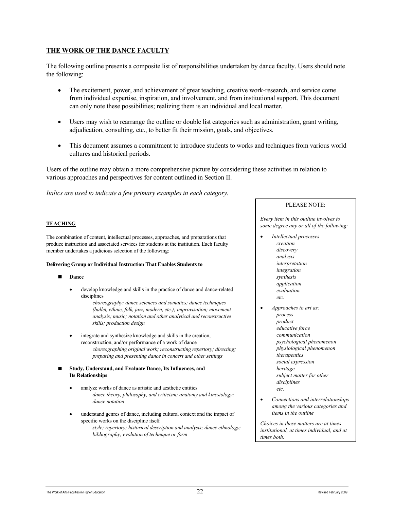### **THE WORK OF THE DANCE FACULTY**

The following outline presents a composite list of responsibilities undertaken by dance faculty. Users should note the following:

- The excitement, power, and achievement of great teaching, creative work-research, and service come from individual expertise, inspiration, and involvement, and from institutional support. This document can only note these possibilities; realizing them is an individual and local matter.
- Users may wish to rearrange the outline or double list categories such as administration, grant writing, adjudication, consulting, etc., to better fit their mission, goals, and objectives.
- This document assumes a commitment to introduce students to works and techniques from various world cultures and historical periods.

Users of the outline may obtain a more comprehensive picture by considering these activities in relation to various approaches and perspectives for content outlined in Section II.

*Italics are used to indicate a few primary examples in each category.*

### **TEACHING**

The combination of content, intellectual processes, approaches, and preparations that produce instruction and associated services for students at the institution. Each faculty member undertakes a judicious selection of the following:

#### **Delivering Group or Individual Instruction That Enables Students to**

#### **Dance**

• develop knowledge and skills in the practice of dance and dance-related disciplines

> *choreography; dance sciences and somatics; dance techniques (ballet, ethnic, folk, jazz, modern, etc.); improvisation; movement analysis; music; notation and other analytical and reconstructive skills; production design*

- integrate and synthesize knowledge and skills in the creation, reconstruction, and/or performance of a work of dance *choreographing original work; reconstructing repertory; directing; preparing and presenting dance in concert and other settings*
- **Study, Understand, and Evaluate Dance, Its Influences, and Its Relationships**
	- analyze works of dance as artistic and aesthetic entities *dance theory, philosophy, and criticism; anatomy and kinesiology; dance notation*
	- understand genres of dance, including cultural context and the impact of specific works on the discipline itself *style; repertory; historical description and analysis; dance ethnology; bibliography; evolution of technique or form*

#### PLEASE NOTE:

*Every item in this outline involves to some degree any or all of the following:* 

- *Intellectual processes creation discovery analysis interpretation integration synthesis application evaluation etc.* 
	- *Approaches to art as: process product educative force communication psychological phenomenon physiological phenomenon therapeutics social expression heritage subject matter for other disciplines etc.*
- *Connections and interrelationships among the various categories and items in the outline*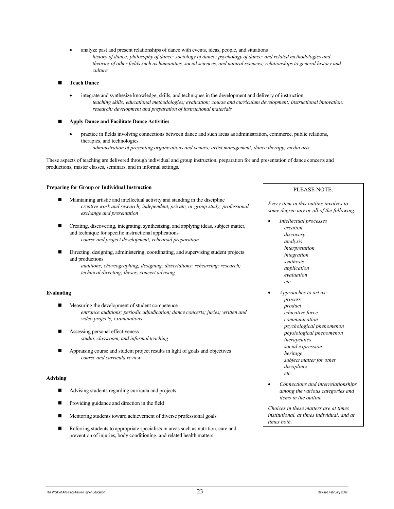- analyze past and present relationships of dance with events, ideas, people, and situations *history of dance; philosophy of dance; sociology of dance; psychology of dance; and related methodologies and theories of other fields such as humanities, social sciences, and natural sciences; relationships to general history and culture*
- **Teach Dance**
	- integrate and synthesize knowledge, skills, and techniques in the development and delivery of instruction *teaching skills; educational methodologies; evaluation; course and curriculum development; instructional innovation; research; development and preparation of instructional materials*

#### **Apply Dance and Facilitate Dance Activities**

• practice in fields involving connections between dance and such areas as administration, commerce, public relations, therapies, and technologies

*administration of presenting organizations and venues; artist management; dance therapy; media arts*

These aspects of teaching are delivered through individual and group instruction, preparation for and presentation of dance concerts and productions, master classes, seminars, and in informal settings.

#### **Preparing for Group or Individual Instruction**

- Maintaining artistic and intellectual activity and standing in the discipline *creative work and research; independent, private, or group study; professional exchange and presentation*
- Creating, discovering, integrating, synthesizing, and applying ideas, subject matter, and technique for specific instructional applications *course and project development; rehearsal preparation*
- Directing, designing, administering, coordinating, and supervising student projects and productions *auditions; choreographing; designing; dissertations; rehearsing; research; technical directing; theses; concert advising*

#### **Evaluating**

- Measuring the development of student competence *entrance auditions; periodic adjudication; dance concerts; juries; written and video projects; examinations*
- Assessing personal effectiveness *studio, classroom, and informal teaching*
- Appraising course and student project results in light of goals and objectives *course and curricula review*

#### **Advising**

- Advising students regarding curricula and projects
- Providing guidance and direction in the field
- Mentoring students toward achievement of diverse professional goals
- Referring students to appropriate specialists in areas such as nutrition, care and prevention of injuries, body conditioning, and related health matters

#### PLEASE NOTE:

*Every item in this outline involves to some degree any or all of the following:* 

- *Intellectual processes creation discovery analysis interpretation integration synthesis application evaluation etc.*  • *Approaches to art as: process* 
	- *product educative force communication psychological phenomenon physiological phenomenon therapeutics social expression heritage subject matter for other disciplines etc.*
- *Connections and interrelationships among the various categories and items in the outline*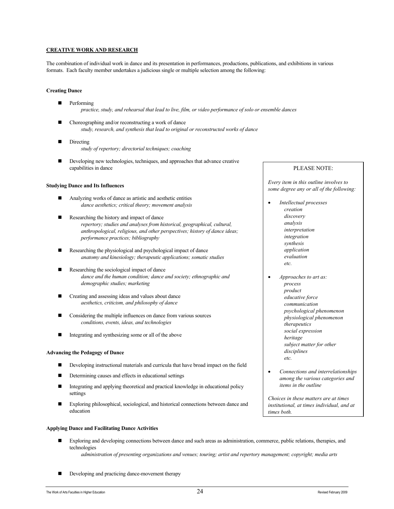#### **CREATIVE WORK AND RESEARCH**

The combination of individual work in dance and its presentation in performances, productions, publications, and exhibitions in various formats. Each faculty member undertakes a judicious single or multiple selection among the following:

#### **Creating Dance**

- **Performing** *practice, study, and rehearsal that lead to live, film, or video performance of solo or ensemble dances*
- Choreographing and/or reconstructing a work of dance *study, research, and synthesis that lead to original or reconstructed works of dance*
- Directing *study of repertory; directorial techniques; coaching*
- Developing new technologies, techniques, and approaches that advance creative capabilities in dance

#### **Studying Dance and Its Influences**

- Analyzing works of dance as artistic and aesthetic entities *dance aesthetics; critical theory; movement analysis*
- Researching the history and impact of dance *repertory; studies and analyses from historical, geographical, cultural, anthropological, religious, and other perspectives; history of dance ideas; performance practices; bibliography*
- Researching the physiological and psychological impact of dance *anatomy and kinesiology; therapeutic applications; somatic studies*
- Researching the sociological impact of dance *dance and the human condition; dance and society; ethnographic and demographic studies; marketing*
- Creating and assessing ideas and values about dance *aesthetics, criticism, and philosophy of dance*
- Considering the multiple influences on dance from various sources *conditions, events, ideas, and technologies*
- Integrating and synthesizing some or all of the above

#### **Advancing the Pedagogy of Dance**

- Developing instructional materials and curricula that have broad impact on the field
- Determining causes and effects in educational settings
- Integrating and applying theoretical and practical knowledge in educational policy settings
- Exploring philosophical, sociological, and historical connections between dance and education

#### **Applying Dance and Facilitating Dance Activities**

- Exploring and developing connections between dance and such areas as administration, commerce, public relations, therapies, and technologies
	- *administration of presenting organizations and venues; touring; artist and repertory management; copyright; media arts*
- Developing and practicing dance-movement therapy

#### PLEASE NOTE:

*Every item in this outline involves to some degree any or all of the following:* 

- *Intellectual processes creation discovery analysis interpretation integration synthesis application evaluation etc.*
- *Approaches to art as: process product educative force communication psychological phenomenon physiological phenomenon therapeutics social expression heritage subject matter for other disciplines etc.*
- *Connections and interrelationships among the various categories and items in the outline*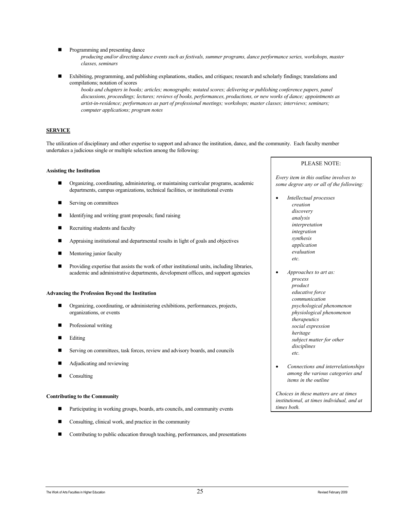- **Programming and presenting dance** 
	- *producing and/or directing dance events such as festivals, summer programs, dance performance series, workshops, master classes, seminars*
- Exhibiting, programming, and publishing explanations, studies, and critiques; research and scholarly findings; translations and compilations; notation of scores

*books and chapters in books; articles; monographs; notated scores; delivering or publishing conference papers, panel discussions, proceedings; lectures; reviews of books, performances, productions, or new works of dance; appointments as artist-in-residence; performances as part of professional meetings; workshops; master classes; interviews; seminars; computer applications; program notes*

### **SERVICE**

The utilization of disciplinary and other expertise to support and advance the institution, dance, and the community. Each faculty member undertakes a judicious single or multiple selection among the following:

#### **Assisting the Institution**

- Organizing, coordinating, administering, or maintaining curricular programs, academic departments, campus organizations, technical facilities, or institutional events
- Serving on committees
- Identifying and writing grant proposals; fund raising
- Recruiting students and faculty
- Appraising institutional and departmental results in light of goals and objectives
- Mentoring junior faculty
- Providing expertise that assists the work of other institutional units, including libraries, academic and administrative departments, development offices, and support agencies

#### **Advancing the Profession Beyond the Institution**

- Organizing, coordinating, or administering exhibitions, performances, projects, organizations, or events
- Professional writing
- Editing
- Serving on committees, task forces, review and advisory boards, and councils
- Adjudicating and reviewing
- Consulting

#### **Contributing to the Community**

- Participating in working groups, boards, arts councils, and community events
- Consulting, clinical work, and practice in the community
- Contributing to public education through teaching, performances, and presentations

#### PLEASE NOTE:

*Every item in this outline involves to some degree any or all of the following:* 

- *Intellectual processes creation discovery analysis interpretation integration synthesis application evaluation etc.*
- *Approaches to art as: process product educative force communication psychological phenomenon physiological phenomenon therapeutics social expression heritage subject matter for other disciplines etc.*
- *Connections and interrelationships among the various categories and items in the outline*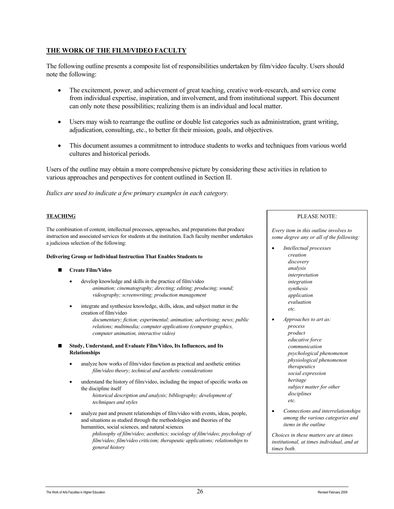### **THE WORK OF THE FILM/VIDEO FACULTY**

The following outline presents a composite list of responsibilities undertaken by film/video faculty. Users should note the following:

- The excitement, power, and achievement of great teaching, creative work-research, and service come from individual expertise, inspiration, and involvement, and from institutional support. This document can only note these possibilities; realizing them is an individual and local matter.
- Users may wish to rearrange the outline or double list categories such as administration, grant writing, adjudication, consulting, etc., to better fit their mission, goals, and objectives.
- This document assumes a commitment to introduce students to works and techniques from various world cultures and historical periods.

Users of the outline may obtain a more comprehensive picture by considering these activities in relation to various approaches and perspectives for content outlined in Section II.

*Italics are used to indicate a few primary examples in each category.*

### **TEACHING**

The combination of content, intellectual processes, approaches, and preparations that produce instruction and associated services for students at the institution. Each faculty member undertakes a judicious selection of the following:

#### **Delivering Group or Individual Instruction That Enables Students to**

#### **Create Film/Video**

- develop knowledge and skills in the practice of film/video *animation; cinematography; directing; editing; producing; sound; videography; screenwriting; production management*
- integrate and synthesize knowledge, skills, ideas, and subject matter in the creation of film/video *documentary; fiction; experimental; animation; advertising; news; public relations; multimedia; computer applications (computer graphics, computer animation, interactive video)*
- **Study, Understand, and Evaluate Film/Video, Its Influences, and Its Relationships**
	- analyze how works of film/video function as practical and aesthetic entities *film/video theory; technical and aesthetic considerations*
	- understand the history of film/video, including the impact of specific works on the discipline itself *historical description and analysis; bibliography; development of techniques and styles*
	- analyze past and present relationships of film/video with events, ideas, people, and situations as studied through the methodologies and theories of the humanities, social sciences, and natural sciences

*philosophy of film/video; aesthetics; sociology of film/video; psychology of film/video; film/video criticism; therapeutic applications; relationships to general history*

PLEASE NOTE:

*Every item in this outline involves to some degree any or all of the following:* 

- *Intellectual processes creation discovery analysis interpretation integration synthesis application evaluation etc.*
- *Approaches to art as: process product educative force communication psychological phenomenon physiological phenomenon therapeutics social expression heritage subject matter for other disciplines etc.*
- *Connections and interrelationships among the various categories and items in the outline*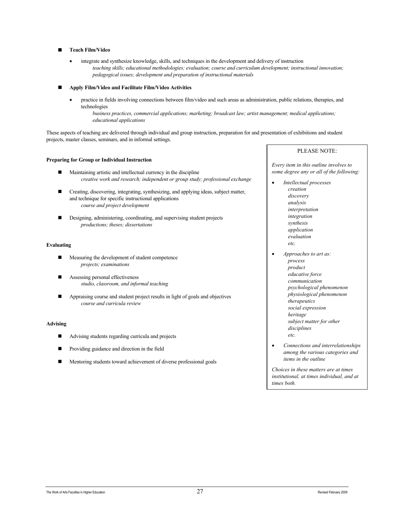#### **Teach Film/Video**

- integrate and synthesize knowledge, skills, and techniques in the development and delivery of instruction *teaching skills; educational methodologies; evaluation; course and curriculum development; instructional innovation; pedagogical issues; development and preparation of instructional materials*
- **Apply Film/Video and Facilitate Film/Video Activities**
	- practice in fields involving connections between film/video and such areas as administration, public relations, therapies, and technologies

*business practices, commercial applications; marketing; broadcast law; artist management; medical applications; educational applications*

These aspects of teaching are delivered through individual and group instruction, preparation for and presentation of exhibitions and student projects, master classes, seminars, and in informal settings.

#### **Preparing for Group or Individual Instruction**

- Maintaining artistic and intellectual currency in the discipline *creative work and research; independent or group study; professional exchange*
- Creating, discovering, integrating, synthesizing, and applying ideas, subject matter, and technique for specific instructional applications *course and project development*
- Designing, administering, coordinating, and supervising student projects *productions; theses; dissertations*

#### **Evaluating**

- **Measuring the development of student competence** *projects; examinations*
- Assessing personal effectiveness *studio, classroom, and informal teaching*
- Appraising course and student project results in light of goals and objectives *course and curricula review*

#### **Advising**

- Advising students regarding curricula and projects
- Providing guidance and direction in the field
- Mentoring students toward achievement of diverse professional goals

### PLEASE NOTE:

*Every item in this outline involves to some degree any or all of the following:* 

- *Intellectual processes creation discovery analysis interpretation integration synthesis application evaluation etc.*
- *Approaches to art as: process product educative force communication psychological phenomenon physiological phenomenon therapeutics social expression heritage subject matter for other disciplines etc.*
- *Connections and interrelationships among the various categories and items in the outline*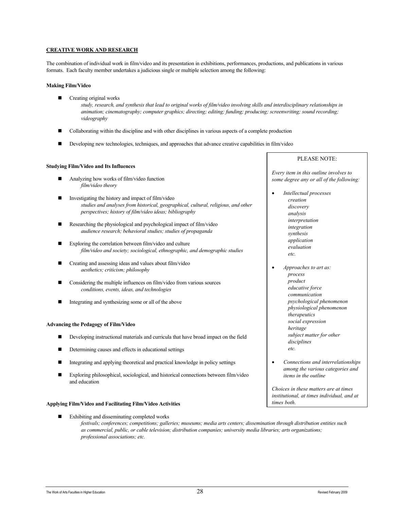#### **CREATIVE WORK AND RESEARCH**

The combination of individual work in film/video and its presentation in exhibitions, performances, productions, and publications in various formats. Each faculty member undertakes a judicious single or multiple selection among the following:

#### **Making Film/Video**

- Creating original works *study, research, and synthesis that lead to original works of film/video involving skills and interdisciplinary relationships in animation; cinematography; computer graphics; directing; editing; funding; producing; screenwriting; sound recording; videography*
- Collaborating within the discipline and with other disciplines in various aspects of a complete production
- Developing new technologies, techniques, and approaches that advance creative capabilities in film/video

#### **Studying Film/Video and Its Influences**

- Analyzing how works of film/video function *film/video theory*
- Investigating the history and impact of film/video *studies and analyses from historical, geographical, cultural, religious, and other perspectives; history of film/video ideas; bibliography*
- Researching the physiological and psychological impact of film/video *audience research; behavioral studies; studies of propaganda*
- Exploring the correlation between film/video and culture *film/video and society; sociological, ethnographic, and demographic studies*
- Creating and assessing ideas and values about film/video *aesthetics; criticism; philosophy*
- Considering the multiple influences on film/video from various sources *conditions, events, ideas, and technologies*
- Integrating and synthesizing some or all of the above

#### **Advancing the Pedagogy of Film/Video**

- Developing instructional materials and curricula that have broad impact on the field
- Determining causes and effects in educational settings
- Integrating and applying theoretical and practical knowledge in policy settings
- Exploring philosophical, sociological, and historical connections between film/video and education

#### **Applying Film/Video and Facilitating Film/Video Activities**

- **Exhibiting and disseminating completed works** 
	- *festivals; conferences; competitions; galleries; museums; media arts centers; dissemination through distribution entities such as commercial, public, or cable television; distribution companies; university media libraries; arts organizations; professional associations; etc.*

#### PLEASE NOTE:

*Every item in this outline involves to some degree any or all of the following:* 

- *Intellectual processes creation discovery analysis interpretation integration synthesis application evaluation etc.*
- *Approaches to art as: process product educative force communication psychological phenomenon physiological phenomenon therapeutics social expression heritage subject matter for other disciplines etc.*
- *Connections and interrelationships among the various categories and items in the outline*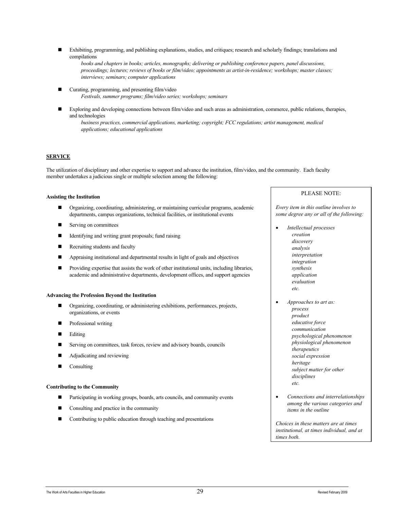Exhibiting, programming, and publishing explanations, studies, and critiques; research and scholarly findings; translations and compilations

*books and chapters in books; articles, monographs; delivering or publishing conference papers, panel discussions, proceedings; lectures; reviews of books or film/video; appointments as artist-in-residence; workshops; master classes; interviews; seminars; computer applications*

- Curating, programming, and presenting film/video *Festivals, summer programs; film/video series; workshops; seminars*
- Exploring and developing connections between film/video and such areas as administration, commerce, public relations, therapies, and technologies

*business practices, commercial applications, marketing; copyright; FCC regulations; artist management, medical applications; educational applications*

### **SERVICE**

The utilization of disciplinary and other expertise to support and advance the institution, film/video, and the community. Each faculty member undertakes a judicious single or multiple selection among the following:

#### **Assisting the Institution**

- Organizing, coordinating, administering, or maintaining curricular programs, academic departments, campus organizations, technical facilities, or institutional events
- Serving on committees
- Identifying and writing grant proposals; fund raising
- Recruiting students and faculty
- Appraising institutional and departmental results in light of goals and objectives
- **Providing expertise that assists the work of other institutional units, including libraries,** academic and administrative departments, development offices, and support agencies

#### **Advancing the Profession Beyond the Institution**

- Organizing, coordinating, or administering exhibitions, performances, projects, organizations, or events
- **Professional writing**
- Editing
- Serving on committees, task forces, review and advisory boards, councils
- **Adjudicating and reviewing**
- Consulting

#### **Contributing to the Community**

- Participating in working groups, boards, arts councils, and community events
- Consulting and practice in the community
- Contributing to public education through teaching and presentations

#### PLEASE NOTE:

*Every item in this outline involves to some degree any or all of the following:* 

- *Intellectual processes creation discovery analysis interpretation integration synthesis application evaluation etc.* 
	- *Approaches to art as: process product educative force communication psychological phenomenon physiological phenomenon therapeutics social expression heritage subject matter for other disciplines etc.*
- *Connections and interrelationships among the various categories and items in the outline*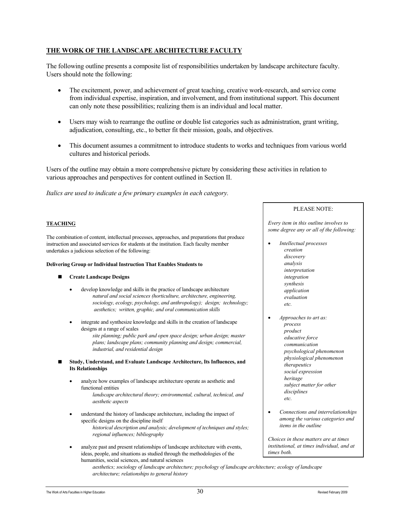### **THE WORK OF THE LANDSCAPE ARCHITECTURE FACULTY**

The following outline presents a composite list of responsibilities undertaken by landscape architecture faculty. Users should note the following:

- The excitement, power, and achievement of great teaching, creative work-research, and service come from individual expertise, inspiration, and involvement, and from institutional support. This document can only note these possibilities; realizing them is an individual and local matter.
- Users may wish to rearrange the outline or double list categories such as administration, grant writing, adjudication, consulting, etc., to better fit their mission, goals, and objectives.
- This document assumes a commitment to introduce students to works and techniques from various world cultures and historical periods.

Users of the outline may obtain a more comprehensive picture by considering these activities in relation to various approaches and perspectives for content outlined in Section II.

*Italics are used to indicate a few primary examples in each category.*

### **TEACHING**

The combination of content, intellectual processes, approaches, and preparations that produce instruction and associated services for students at the institution. Each faculty member undertakes a judicious selection of the following:

#### **Delivering Group or Individual Instruction That Enables Students to**

#### **Create Landscape Designs**

- develop knowledge and skills in the practice of landscape architecture *natural and social sciences (horticulture, architecture, engineering, sociology, ecology, psychology, and anthropology); design; technology; aesthetics; written, graphic, and oral communication skills*
- integrate and synthesize knowledge and skills in the creation of landscape designs at a range of scales

*site planning; public park and open space design; urban design; master plans; landscape plans; community planning and design; commercial, industrial, and residential design*

- **Study, Understand, and Evaluate Landscape Architecture, Its Influences, and Its Relationships**
	- analyze how examples of landscape architecture operate as aesthetic and functional entities *landscape architectural theory; environmental, cultural, technical, and aesthetic aspects*
	- understand the history of landscape architecture, including the impact of specific designs on the discipline itself *historical description and analysis; development of techniques and styles; regional influences; bibliography*
	- analyze past and present relationships of landscape architecture with events, ideas, people, and situations as studied through the methodologies of the humanities, social sciences, and natural sciences

*aesthetics; sociology of landscape architecture; psychology of landscape architecture; ecology of landscape architecture; relationships to general history*

#### PLEASE NOTE:

*Every item in this outline involves to some degree any or all of the following:* 

• *Intellectual processes creation discovery analysis interpretation integration synthesis application evaluation etc.* 

• *Approaches to art as: process product educative force communication psychological phenomenon physiological phenomenon therapeutics social expression heritage subject matter for other disciplines etc.* 

• *Connections and interrelationships among the various categories and items in the outline*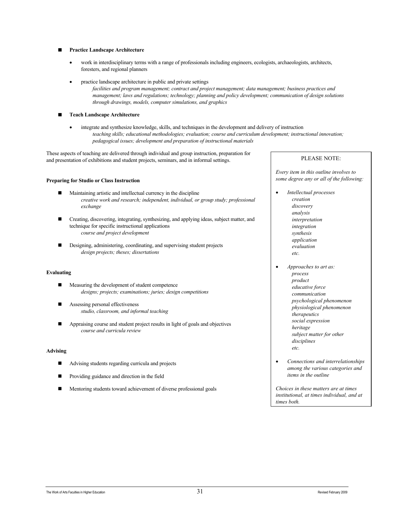#### **Practice Landscape Architecture**

- work in interdisciplinary terms with a range of professionals including engineers, ecologists, archaeologists, architects, foresters, and regional planners
- practice landscape architecture in public and private settings
	- *facilities and program management; contract and project management; data management; business practices and management; laws and regulations; technology; planning and policy development; communication of design solutions through drawings, models, computer simulations, and graphics*
- **Teach Landscape Architecture**
	- integrate and synthesize knowledge, skills, and techniques in the development and delivery of instruction *teaching skills; educational methodologies; evaluation; course and curriculum development; instructional innovation; pedagogical issues; development and preparation of instructional materials*

These aspects of teaching are delivered through individual and group instruction, preparation for and presentation of exhibitions and student projects, seminars, and in informal settings.

#### **Preparing for Studio or Class Instruction**

- Maintaining artistic and intellectual currency in the discipline *creative work and research; independent, individual, or group study; professional exchange*
- Creating, discovering, integrating, synthesizing, and applying ideas, subject matter, and technique for specific instructional applications *course and project development*
- Designing, administering, coordinating, and supervising student projects *design projects; theses; dissertations*

#### **Evaluating**

- **Measuring the development of student competence** *designs; projects; examinations; juries; design competitions*
- Assessing personal effectiveness *studio, classroom, and informal teaching*
- Appraising course and student project results in light of goals and objectives *course and curricula review*

#### **Advising**

- Advising students regarding curricula and projects
- Providing guidance and direction in the field
- Mentoring students toward achievement of diverse professional goals

#### PLEASE NOTE:

*Every item in this outline involves to some degree any or all of the following:* 

- *Intellectual processes creation discovery analysis interpretation integration synthesis application evaluation etc.*
- *Approaches to art as: process product educative force communication psychological phenomenon physiological phenomenon therapeutics social expression heritage subject matter for other disciplines etc.*
- *Connections and interrelationships among the various categories and items in the outline*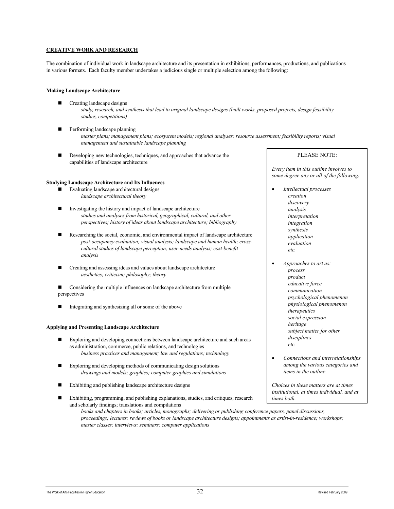#### **CREATIVE WORK AND RESEARCH**

The combination of individual work in landscape architecture and its presentation in exhibitions, performances, productions, and publications in various formats. Each faculty member undertakes a judicious single or multiple selection among the following:

#### **Making Landscape Architecture**

- Creating landscape designs *study, research, and synthesis that lead to original landscape designs (built works, proposed projects, design feasibility studies, competitions)*
- Performing landscape planning *master plans; management plans; ecosystem models; regional analyses; resource assessment; feasibility reports; visual management and sustainable landscape planning*
- Developing new technologies, techniques, and approaches that advance the capabilities of landscape architecture

#### **Studying Landscape Architecture and Its Influences**

- Evaluating landscape architectural designs *landscape architectural theory*
- Investigating the history and impact of landscape architecture *studies and analyses from historical, geographical, cultural, and other perspectives; history of ideas about landscape architecture; bibliography*
- Researching the social, economic, and environmental impact of landscape architecture *post-occupancy evaluation; visual analysis; landscape and human health; crosscultural studies of landscape perception; user-needs analysis; cost-benefit analysis*
- Creating and assessing ideas and values about landscape architecture *aesthetics; criticism; philosophy; theory*
- Considering the multiple influences on landscape architecture from multiple perspectives
- Integrating and synthesizing all or some of the above

#### **Applying and Presenting Landscape Architecture**

- Exploring and developing connections between landscape architecture and such areas as administration, commerce, public relations, and technologies *business practices and management; law and regulations; technology*
- Exploring and developing methods of communicating design solutions *drawings and models; graphics; computer graphics and simulations*
- Exhibiting and publishing landscape architecture designs
- Exhibiting, programming, and publishing explanations, studies, and critiques; research and scholarly findings; translations and compilations
	- *books and chapters in books; articles, monographs; delivering or publishing conference papers, panel discussions, proceedings; lectures; reviews of books or landscape architecture designs; appointments as artist-in-residence; workshops; master classes; interviews; seminars; computer applications*

#### PLEASE NOTE:

*Every item in this outline involves to some degree any or all of the following:* 

- *Intellectual processes creation discovery analysis interpretation integration synthesis application evaluation etc.*
- *Approaches to art as: process product educative force communication psychological phenomenon physiological phenomenon therapeutics social expression heritage subject matter for other disciplines etc.*
- *Connections and interrelationships among the various categories and items in the outline*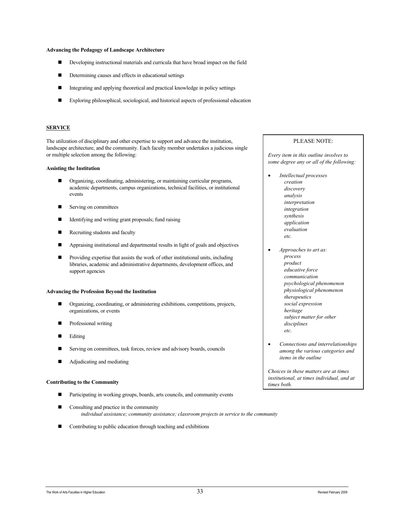#### **Advancing the Pedagogy of Landscape Architecture**

- Developing instructional materials and curricula that have broad impact on the field
- Determining causes and effects in educational settings
- Integrating and applying theoretical and practical knowledge in policy settings
- Exploring philosophical, sociological, and historical aspects of professional education

#### **SERVICE**

The utilization of disciplinary and other expertise to support and advance the institution, landscape architecture, and the community. Each faculty member undertakes a judicious single or multiple selection among the following:

#### **Assisting the Institution**

- Organizing, coordinating, administering, or maintaining curricular programs, academic departments, campus organizations, technical facilities, or institutional events
- Serving on committees
- Identifying and writing grant proposals; fund raising
- Recruiting students and faculty
- Appraising institutional and departmental results in light of goals and objectives
- Providing expertise that assists the work of other institutional units, including libraries, academic and administrative departments, development offices, and support agencies

#### **Advancing the Profession Beyond the Institution**

- Organizing, coordinating, or administering exhibitions, competitions, projects, organizations, or events
- **Professional writing**
- Editing
- Serving on committees, task forces, review and advisory boards, councils
- Adjudicating and mediating

#### **Contributing to the Community**

- Participating in working groups, boards, arts councils, and community events
- Consulting and practice in the community *individual assistance; community assistance; classroom projects in service to the community*
- Contributing to public education through teaching and exhibitions

#### PLEASE NOTE:

*Every item in this outline involves to some degree any or all of the following:* 

- *Intellectual processes creation discovery analysis interpretation integration synthesis application evaluation etc.*
- *Approaches to art as: process product educative force communication psychological phenomenon physiological phenomenon therapeutics social expression heritage subject matter for other disciplines etc.*
- *Connections and interrelationships among the various categories and items in the outline*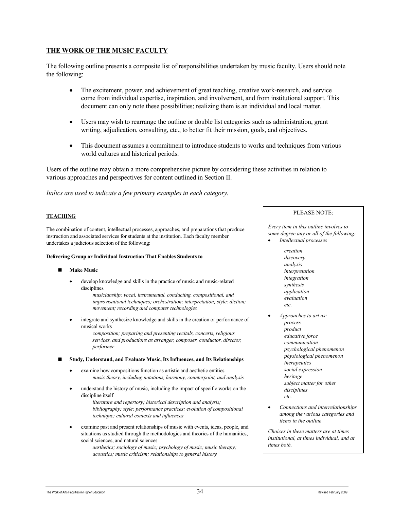### **THE WORK OF THE MUSIC FACULTY**

The following outline presents a composite list of responsibilities undertaken by music faculty. Users should note the following:

- The excitement, power, and achievement of great teaching, creative work-research, and service come from individual expertise, inspiration, and involvement, and from institutional support. This document can only note these possibilities; realizing them is an individual and local matter.
- Users may wish to rearrange the outline or double list categories such as administration, grant writing, adjudication, consulting, etc., to better fit their mission, goals, and objectives.
- This document assumes a commitment to introduce students to works and techniques from various world cultures and historical periods.

Users of the outline may obtain a more comprehensive picture by considering these activities in relation to various approaches and perspectives for content outlined in Section II.

*Italics are used to indicate a few primary examples in each category.*

### **TEACHING**

The combination of content, intellectual processes, approaches, and preparations that produce instruction and associated services for students at the institution. Each faculty member undertakes a judicious selection of the following:

#### **Delivering Group or Individual Instruction That Enables Students to**

#### **Make Music**

• develop knowledge and skills in the practice of music and music-related disciplines

> *musicianship; vocal, instrumental, conducting, compositional, and improvisational techniques; orchestration; interpretation; style; diction; movement; recording and computer technologies*

integrate and synthesize knowledge and skills in the creation or performance of musical works

*composition; preparing and presenting recitals, concerts, religious services, and productions as arranger, composer, conductor, director, performer*

#### **Study, Understand, and Evaluate Music, Its Influences, and Its Relationships**

- examine how compositions function as artistic and aesthetic entities *music theory, including notations, harmony, counterpoint, and analysis*
- understand the history of music, including the impact of specific works on the discipline itself

*literature and repertory; historical description and analysis; bibliography; style; performance practices; evolution of compositional technique; cultural contexts and influences*

examine past and present relationships of music with events, ideas, people, and situations as studied through the methodologies and theories of the humanities, social sciences, and natural sciences

*aesthetics; sociology of music; psychology of music; music therapy; acoustics; music criticism; relationships to general history*

PLEASE NOTE:

*Every item in this outline involves to some degree any or all of the following:* 

• *Intellectual processes* 

*creation discovery analysis interpretation integration synthesis application evaluation etc.* 

- *Approaches to art as: process product educative force communication psychological phenomenon physiological phenomenon therapeutics social expression heritage subject matter for other disciplines etc.*
- *Connections and interrelationships among the various categories and items in the outline*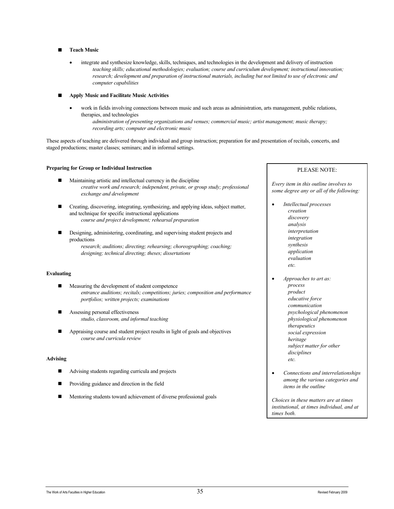#### **Teach Music**

• integrate and synthesize knowledge, skills, techniques, and technologies in the development and delivery of instruction *teaching skills; educational methodologies; evaluation; course and curriculum development; instructional innovation; research; development and preparation of instructional materials, including but not limited to use of electronic and computer capabilities*

#### **Apply Music and Facilitate Music Activities**

• work in fields involving connections between music and such areas as administration, arts management, public relations, therapies, and technologies

*administration of presenting organizations and venues; commercial music; artist management; music therapy; recording arts; computer and electronic music*

These aspects of teaching are delivered through individual and group instruction; preparation for and presentation of recitals, concerts, and staged productions; master classes; seminars; and in informal settings.

#### **Preparing for Group or Individual Instruction**

- Maintaining artistic and intellectual currency in the discipline *creative work and research; independent, private, or group study; professional exchange and development*
- Creating, discovering, integrating, synthesizing, and applying ideas, subject matter, and technique for specific instructional applications *course and project development; rehearsal preparation*
- Designing, administering, coordinating, and supervising student projects and productions *research; auditions; directing; rehearsing; choreographing; coaching; designing; technical directing; theses; dissertations*

#### **Evaluating**

- **Measuring the development of student competence** *entrance auditions; recitals; competitions; juries; composition and performance portfolios; written projects; examinations*
- Assessing personal effectiveness *studio, classroom, and informal teaching*
- Appraising course and student project results in light of goals and objectives *course and curricula review*

#### **Advising**

- Advising students regarding curricula and projects
- Providing guidance and direction in the field
- Mentoring students toward achievement of diverse professional goals

#### PLEASE NOTE:

*Every item in this outline involves to some degree any or all of the following:* 

- *Intellectual processes creation discovery analysis interpretation integration synthesis application evaluation etc.*
- *Approaches to art as: process product educative force communication psychological phenomenon physiological phenomenon therapeutics social expression heritage subject matter for other disciplines etc.*
- *Connections and interrelationships among the various categories and items in the outline*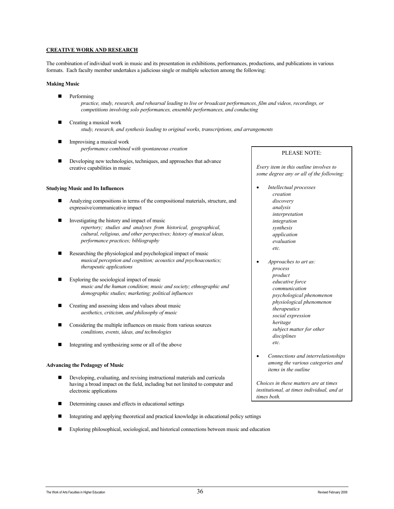#### **CREATIVE WORK AND RESEARCH**

The combination of individual work in music and its presentation in exhibitions, performances, productions, and publications in various formats. Each faculty member undertakes a judicious single or multiple selection among the following:

#### **Making Music**

- **Performing** *practice, study, research, and rehearsal leading to live or broadcast performances, film and videos, recordings, or competitions involving solo performances, ensemble performances, and conducting*
- $\blacksquare$  Creating a musical work *study, research, and synthesis leading to original works, transcriptions, and arrangements*
- Improvising a musical work *performance combined with spontaneous creation*
- Developing new technologies, techniques, and approaches that advance creative capabilities in music

#### **Studying Music and Its Influences**

- Analyzing compositions in terms of the compositional materials, structure, and expressive/communicative impact
- Investigating the history and impact of music *repertory; studies and analyses from historical, geographical, cultural, religious, and other perspectives; history of musical ideas, performance practices; bibliography*
- Researching the physiological and psychological impact of music *musical perception and cognition; acoustics and psychoacoustics; therapeutic applications*
- Exploring the sociological impact of music *music and the human condition; music and society; ethnographic and demographic studies; marketing; political influences*
- Creating and assessing ideas and values about music *aesthetics, criticism, and philosophy of music*
- Considering the multiple influences on music from various sources *conditions, events, ideas, and technologies*
- Integrating and synthesizing some or all of the above

#### **Advancing the Pedagogy of Music**

- Developing, evaluating, and revising instructional materials and curricula having a broad impact on the field, including but not limited to computer and electronic applications
- Determining causes and effects in educational settings
- Integrating and applying theoretical and practical knowledge in educational policy settings
- Exploring philosophical, sociological, and historical connections between music and education

#### PLEASE NOTE:

*Every item in this outline involves to some degree any or all of the following:* 

- *Intellectual processes creation discovery analysis interpretation integration synthesis application evaluation etc.*
- *Approaches to art as: process product educative force communication psychological phenomenon physiological phenomenon therapeutics social expression heritage subject matter for other disciplines etc.*
- *Connections and interrelationships among the various categories and items in the outline*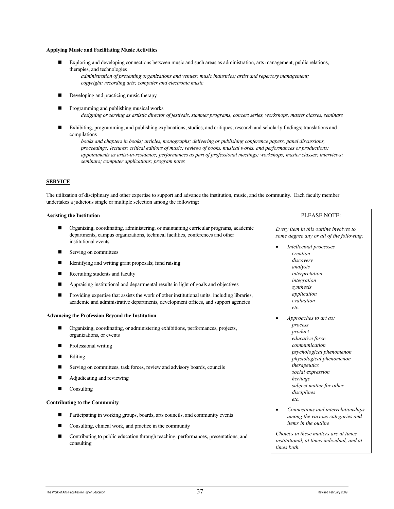#### **Applying Music and Facilitating Music Activities**

 Exploring and developing connections between music and such areas as administration, arts management, public relations, therapies, and technologies

*administration of presenting organizations and venues; music industries; artist and repertory management; copyright; recording arts; computer and electronic music*

- Developing and practicing music therapy
- **Programming and publishing musical works** *designing or serving as artistic director of festivals, summer programs, concert series, workshops, master classes, seminars*
- Exhibiting, programming, and publishing explanations, studies, and critiques; research and scholarly findings; translations and compilations

*books and chapters in books; articles, monographs; delivering or publishing conference papers, panel discussions, proceedings; lectures; critical editions of music; reviews of books, musical works, and performances or productions; appointments as artist-in-residence; performances as part of professional meetings; workshops; master classes; interviews; seminars; computer applications; program notes*

### **SERVICE**

The utilization of disciplinary and other expertise to support and advance the institution, music, and the community. Each faculty member undertakes a judicious single or multiple selection among the following:

#### **Assisting the Institution**

- Organizing, coordinating, administering, or maintaining curricular programs, academic departments, campus organizations, technical facilities, conferences and other institutional events
- Serving on committees
- Identifying and writing grant proposals; fund raising
- Recruiting students and faculty
- Appraising institutional and departmental results in light of goals and objectives
- Providing expertise that assists the work of other institutional units, including libraries, academic and administrative departments, development offices, and support agencies

#### **Advancing the Profession Beyond the Institution**

- Organizing, coordinating, or administering exhibitions, performances, projects, organizations, or events
- **Professional writing**
- Editing
- Serving on committees, task forces, review and advisory boards, councils
- Adjudicating and reviewing
- Consulting

#### **Contributing to the Community**

- Participating in working groups, boards, arts councils, and community events
- Consulting, clinical work, and practice in the community
- Contributing to public education through teaching, performances, presentations, and consulting

#### PLEASE NOTE:

*Every item in this outline involves to some degree any or all of the following:* 

- *Intellectual processes creation discovery analysis interpretation integration synthesis application evaluation etc.* 
	- *Approaches to art as: process product educative force communication psychological phenomenon physiological phenomenon therapeutics social expression heritage subject matter for other disciplines etc.*
- *Connections and interrelationships among the various categories and items in the outline*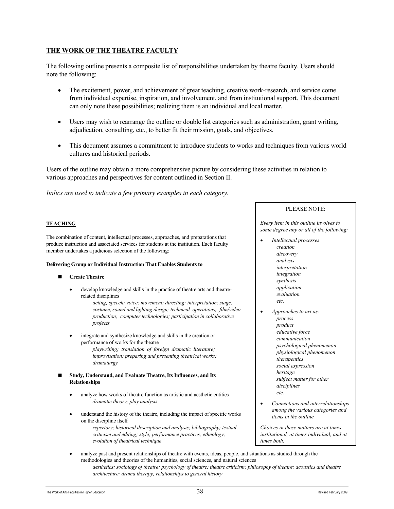### **THE WORK OF THE THEATRE FACULTY**

The following outline presents a composite list of responsibilities undertaken by theatre faculty. Users should note the following:

- The excitement, power, and achievement of great teaching, creative work-research, and service come from individual expertise, inspiration, and involvement, and from institutional support. This document can only note these possibilities; realizing them is an individual and local matter.
- Users may wish to rearrange the outline or double list categories such as administration, grant writing, adjudication, consulting, etc., to better fit their mission, goals, and objectives.
- This document assumes a commitment to introduce students to works and techniques from various world cultures and historical periods.

Users of the outline may obtain a more comprehensive picture by considering these activities in relation to various approaches and perspectives for content outlined in Section II.

*Italics are used to indicate a few primary examples in each category.*

### **TEACHING**

The combination of content, intellectual processes, approaches, and preparations that produce instruction and associated services for students at the institution. Each faculty member undertakes a judicious selection of the following:

#### **Delivering Group or Individual Instruction That Enables Students to**

 **Create Theatre**

• develop knowledge and skills in the practice of theatre arts and theatrerelated disciplines

> *acting; speech; voice; movement; directing; interpretation; stage, costume, sound and lighting design; technical operations; film/video production; computer technologies; participation in collaborative projects*

• integrate and synthesize knowledge and skills in the creation or performance of works for the theatre

> *playwriting; translation of foreign dramatic literature; improvisation; preparing and presenting theatrical works; dramaturgy*

- **Study, Understand, and Evaluate Theatre, Its Influences, and Its Relationships**
	- analyze how works of theatre function as artistic and aesthetic entities *dramatic theory; play analysis*
	- understand the history of the theatre, including the impact of specific works on the discipline itself *repertory; historical description and analysis; bibliography; textual* 
		- *criticism and editing; style; performance practices; ethnology; evolution of theatrical technique*

PLEASE NOTE:

*Every item in this outline involves to some degree any or all of the following:* 

- *Intellectual processes creation discovery analysis interpretation integration synthesis application evaluation etc.* 
	- *Approaches to art as: process product educative force communication psychological phenomenon physiological phenomenon therapeutics social expression heritage subject matter for other disciplines etc.*
- *Connections and interrelationships among the various categories and items in the outline*

*Choices in these matters are at times institutional, at times individual, and at times both.* 

• analyze past and present relationships of theatre with events, ideas, people, and situations as studied through the methodologies and theories of the humanities, social sciences, and natural sciences *aesthetics; sociology of theatre; psychology of theatre; theatre criticism; philosophy of theatre; acoustics and theatre architecture; drama therapy; relationships to general history*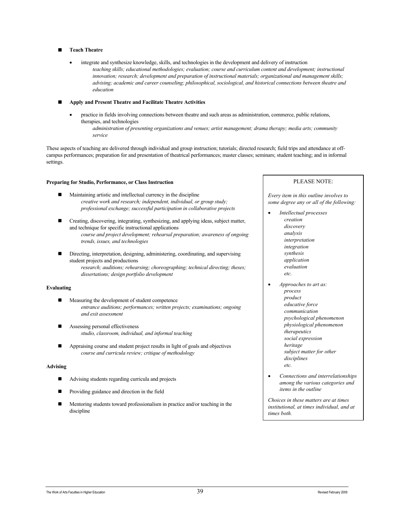#### **Teach Theatre**

- integrate and synthesize knowledge, skills, and technologies in the development and delivery of instruction *teaching skills; educational methodologies; evaluation; course and curriculum content and development; instructional innovation; research; development and preparation of instructional materials; organizational and management skills; advising; academic and career counseling; philosophical, sociological, and historical connections between theatre and education*
- **Apply and Present Theatre and Facilitate Theatre Activities**
	- practice in fields involving connections between theatre and such areas as administration, commerce, public relations, therapies, and technologies
		- *administration of presenting organizations and venues; artist management; drama therapy; media arts; community service*

These aspects of teaching are delivered through individual and group instruction; tutorials; directed research; field trips and attendance at offcampus performances; preparation for and presentation of theatrical performances; master classes; seminars; student teaching; and in informal settings.

#### **Preparing for Studio, Performance, or Class Instruction**

- Maintaining artistic and intellectual currency in the discipline *creative work and research; independent, individual, or group study; professional exchange; successful participation in collaborative projects*
- Creating, discovering, integrating, synthesizing, and applying ideas, subject matter, and technique for specific instructional applications *course and project development; rehearsal preparation; awareness of ongoing trends, issues, and technologies*
- Directing, interpretation, designing, administering, coordinating, and supervising student projects and productions *research; auditions; rehearsing; choreographing; technical directing; theses; dissertations; design portfolio development*

#### **Evaluating**

- Measuring the development of student competence *entrance auditions; performances; written projects; examinations; ongoing and exit assessment*
- Assessing personal effectiveness *studio, classroom, individual, and informal teaching*
- **Appraising course and student project results in light of goals and objectives** *course and curricula review; critique of methodology*

#### **Advising**

- Advising students regarding curricula and projects
- Providing guidance and direction in the field
- Mentoring students toward professionalism in practice and/or teaching in the discipline

#### PLEASE NOTE:

*Every item in this outline involves to some degree any or all of the following:* 

- *Intellectual processes creation discovery analysis interpretation integration synthesis application evaluation etc.*
- *Approaches to art as: process product educative force communication psychological phenomenon physiological phenomenon therapeutics social expression heritage subject matter for other disciplines etc.*
- *Connections and interrelationships among the various categories and items in the outline*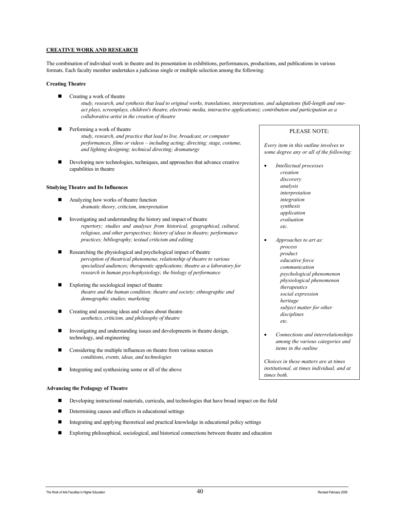#### **CREATIVE WORK AND RESEARCH**

The combination of individual work in theatre and its presentation in exhibitions, performances, productions, and publications in various formats. Each faculty member undertakes a judicious single or multiple selection among the following:

#### **Creating Theatre**

- Creating a work of theatre *study, research, and synthesis that lead to original works, translations, interpretations, and adaptations (full-length and oneact plays, screenplays, children's theatre, electronic media, interactive applications); contribution and participation as a collaborative artist in the creation of theatre*
- Performing a work of theatre *study, research, and practice that lead to live, broadcast, or computer performances, films or videos – including acting; directing; stage, costume, and lighting designing; technical directing; dramaturgy*
- Developing new technologies, techniques, and approaches that advance creative capabilities in theatre

#### **Studying Theatre and Its Influences**

- Analyzing how works of theatre function *dramatic theory, criticism, interpretation*
- Investigating and understanding the history and impact of theatre *repertory; studies and analyses from historical, geographical, cultural, religious, and other perspectives; history of ideas in theatre; performance practices; bibliography; textual criticism and editing*
- Researching the physiological and psychological impact of theatre *perception of theatrical phenomena; relationship of theatre to various specialized audiences; therapeutic applications; theatre as a laboratory for research in human psychophysiology; the biology of performance*
- Exploring the sociological impact of theatre *theatre and the human condition; theatre and society; ethnographic and demographic studies; marketing*
- Creating and assessing ideas and values about theatre *aesthetics, criticism, and philosophy of theatre*
- Investigating and understanding issues and developments in theatre design, technology, and engineering
- Considering the multiple influences on theatre from various sources *conditions, events, ideas, and technologies*
- Integrating and synthesizing some or all of the above

#### **Advancing the Pedagogy of Theatre**

- Developing instructional materials, curricula, and technologies that have broad impact on the field
- Determining causes and effects in educational settings
- Integrating and applying theoretical and practical knowledge in educational policy settings
- Exploring philosophical, sociological, and historical connections between theatre and education

#### PLEASE NOTE:

*Every item in this outline involves to some degree any or all of the following:* 

- *Intellectual processes creation discovery analysis interpretation integration synthesis application evaluation etc.*
- *Approaches to art as: process product educative force communication psychological phenomenon physiological phenomenon therapeutics social expression heritage subject matter for other disciplines etc.*
- *Connections and interrelationships among the various categories and items in the outline*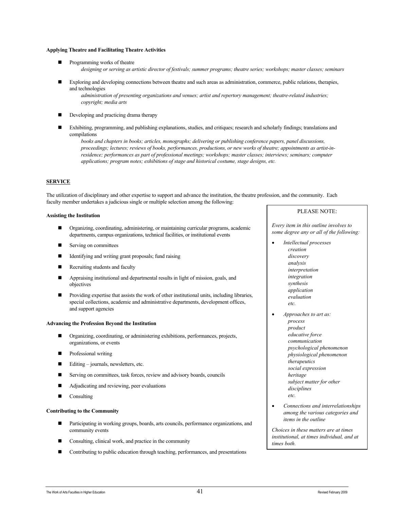#### **Applying Theatre and Facilitating Theatre Activities**

- Programming works of theatre *designing or serving as artistic director of festivals; summer programs; theatre series; workshops; master classes; seminars*
- Exploring and developing connections between theatre and such areas as administration, commerce, public relations, therapies, and technologies

*administration of presenting organizations and venues; artist and repertory management; theatre-related industries; copyright; media arts*

- Developing and practicing drama therapy
- Exhibiting, programming, and publishing explanations, studies, and critiques; research and scholarly findings; translations and compilations

*books and chapters in books; articles, monographs; delivering or publishing conference papers, panel discussions, proceedings; lectures; reviews of books, performances, productions, or new works of theatre; appointments as artist-inresidence; performances as part of professional meetings; workshops; master classes; interviews; seminars; computer applications; program notes; exhibitions of stage and historical costume, stage designs, etc.*

### **SERVICE**

The utilization of disciplinary and other expertise to support and advance the institution, the theatre profession, and the community. Each faculty member undertakes a judicious single or multiple selection among the following:

#### **Assisting the Institution**

- Organizing, coordinating, administering, or maintaining curricular programs, academic departments, campus organizations, technical facilities, or institutional events
- Serving on committees
- $\blacksquare$  Identifying and writing grant proposals; fund raising
- Recruiting students and faculty
- **EXECUTE:** Appraising institutional and departmental results in light of mission, goals, and objectives
- Providing expertise that assists the work of other institutional units, including libraries, special collections, academic and administrative departments, development offices, and support agencies

#### **Advancing the Profession Beyond the Institution**

- Organizing, coordinating, or administering exhibitions, performances, projects, organizations, or events
- Professional writing
- Editing journals, newsletters, etc.
- Serving on committees, task forces, review and advisory boards, councils
- Adjudicating and reviewing, peer evaluations
- Consulting

#### **Contributing to the Community**

- Participating in working groups, boards, arts councils, performance organizations, and community events
- Consulting, clinical work, and practice in the community
- Contributing to public education through teaching, performances, and presentations

#### PLEASE NOTE:

*Every item in this outline involves to some degree any or all of the following:* 

- *Intellectual processes creation discovery analysis interpretation integration synthesis application evaluation etc.*
- *Approaches to art as: process product educative force communication psychological phenomenon physiological phenomenon therapeutics social expression heritage subject matter for other disciplines etc.*
- *Connections and interrelationships among the various categories and items in the outline*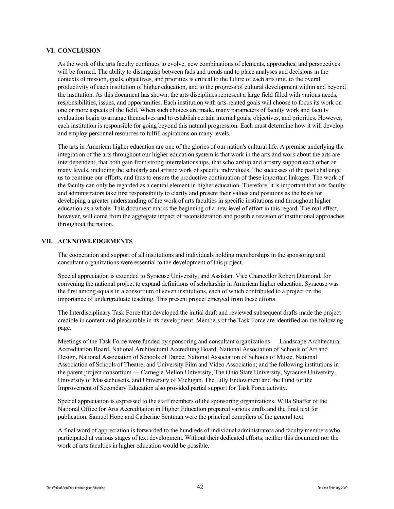### **VI. CONCLUSION**

As the work of the arts faculty continues to evolve, new combinations of elements, approaches, and perspectives will be formed. The ability to distinguish between fads and trends and to place analyses and decisions in the contexts of mission, goals, objectives, and priorities is critical to the future of each arts unit, to the overall productivity of each institution of higher education, and to the progress of cultural development within and beyond the institution. As this document has shown, the arts disciplines represent a large field filled with various needs, responsibilities, issues, and opportunities. Each institution with arts-related goals will choose to focus its work on one or more aspects of the field. When such choices are made, many parameters of faculty work and faculty evaluation begin to arrange themselves and to establish certain internal goals, objectives, and priorities. However, each institution is responsible for going beyond this natural progression. Each must determine how it will develop and employ personnel resources to fulfill aspirations on many levels.

The arts in American higher education are one of the glories of our nation's cultural life. A premise underlying the integration of the arts throughout our higher education system is that work in the arts and work about the arts are interdependent, that both gain from strong interrelationships, that scholarship and artistry support each other on many levels, including the scholarly and artistic work of specific individuals. The successes of the past challenge us to continue our efforts, and thus to ensure the productive continuation of these important linkages. The work of the faculty can only be regarded as a central element in higher education. Therefore, it is important that arts faculty and administrators take first responsibility to clarify and present their values and positions as the basis for developing a greater understanding of the work of arts faculties in specific institutions and throughout higher education as a whole. This document marks the beginning of a new level of effort in this regard. The real effect, however, will come from the aggregate impact of reconsideration and possible revision of institutional approaches throughout the nation.

### **VII. ACKNOWLEDGEMENTS**

The cooperation and support of all institutions and individuals holding memberships in the sponsoring and consultant organizations were essential to the development of this project.

Special appreciation is extended to Syracuse University, and Assistant Vice Chancellor Robert Diamond, for convening the national project to expand definitions of scholarship in American higher education. Syracuse was the first among equals in a consortium of seven institutions, each of which contributed to a project on the importance of undergraduate teaching. This present project emerged from these efforts.

The Interdisciplinary Task Force that developed the initial draft and reviewed subsequent drafts made the project credible in content and pleasurable in its development. Members of the Task Force are identified on the following page.

Meetings of the Task Force were funded by sponsoring and consultant organizations — Landscape Architectural Accreditation Board, National Architectural Accrediting Board, National Association of Schools of Art and Design, National Association of Schools of Dance, National Association of Schools of Music, National Association of Schools of Theatre, and University Film and Video Association; and the following institutions in the parent project consortium — Carnegie Mellon University, The Ohio State University, Syracuse University, University of Massachusetts, and University of Michigan. The Lilly Endowment and the Fund for the Improvement of Secondary Education also provided partial support for Task Force activity.

Special appreciation is expressed to the staff members of the sponsoring organizations. Willa Shaffer of the National Office for Arts Accreditation in Higher Education prepared various drafts and the final text for publication. Samuel Hope and Catherine Sentman were the principal compilers of the general text.

A final word of appreciation is forwarded to the hundreds of individual administrators and faculty members who participated at various stages of text development. Without their dedicated efforts, neither this document nor the work of arts faculties in higher education would be possible.

The Work of Arts Faculties in Higher Education  $42\,$